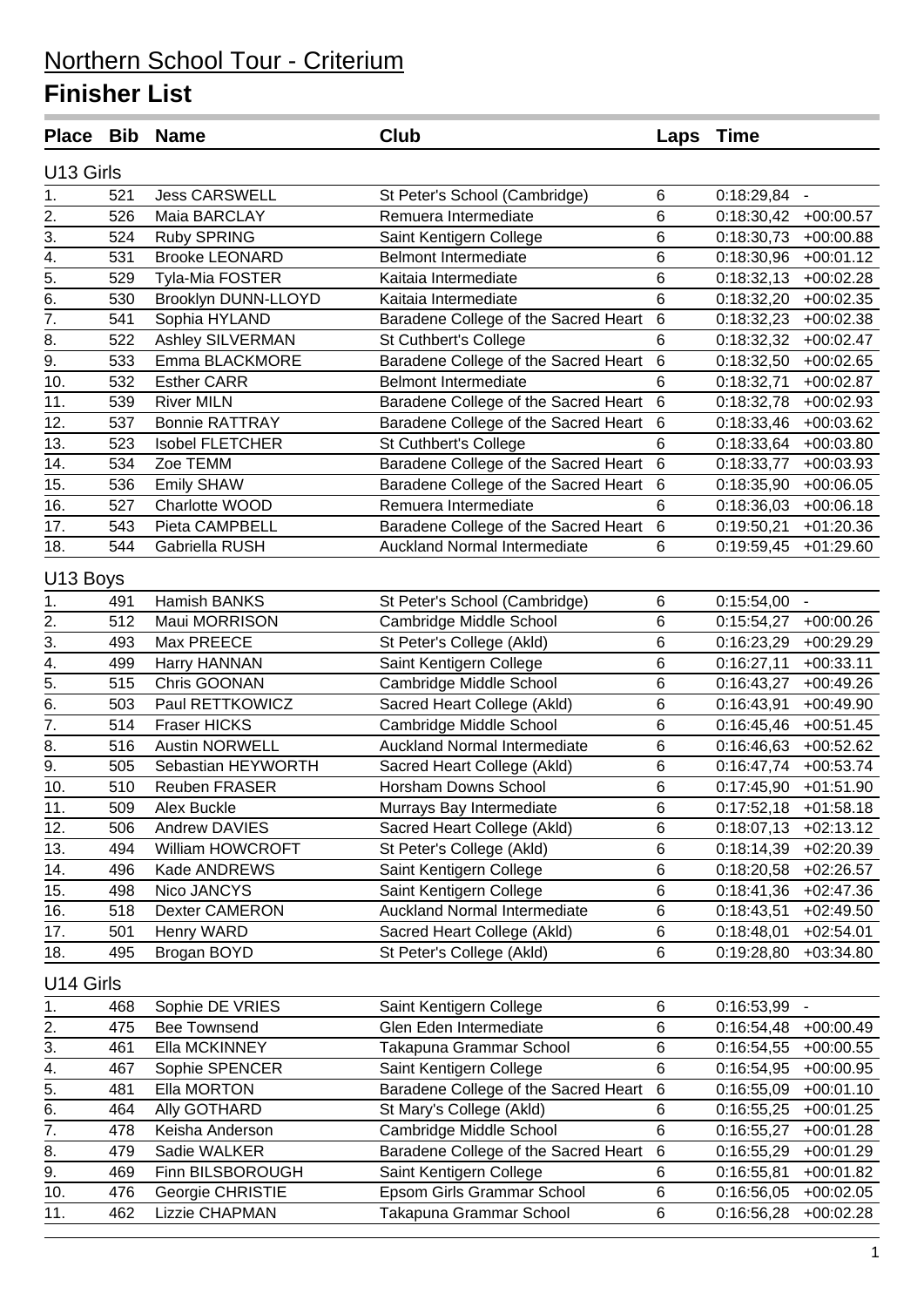| U13 Girls<br>$\overline{1}$ .<br>$\,6$<br><b>Jess CARSWELL</b><br>$0:18:29,84 -$<br>521<br>St Peter's School (Cambridge)<br>$\overline{2}$ .<br>6<br>526<br>Maia BARCLAY<br>Remuera Intermediate<br>0:18:30,42<br>$+00:00.57$<br>3.<br>6<br>524<br>0:18:30,73<br><b>Ruby SPRING</b><br>Saint Kentigern College<br>$+00:00.88$<br>$\overline{4}$ .<br>531<br>6<br><b>Brooke LEONARD</b><br><b>Belmont Intermediate</b><br>0:18:30,96<br>$+00:01.12$<br>$\overline{5}$ .<br>6<br>529<br>0:18:32,13<br>Tyla-Mia FOSTER<br>Kaitaia Intermediate<br>$+00:02.28$<br>6<br>6.<br>530<br>Brooklyn DUNN-LLOYD<br>Kaitaia Intermediate<br>0:18:32,20<br>$+00:02.35$<br>$\overline{7}$ .<br>541<br>Baradene College of the Sacred Heart<br>$\,6$<br>Sophia HYLAND<br>0:18:32,23<br>$+00:02.38$<br>8.<br>6<br>Ashley SILVERMAN<br>522<br>St Cuthbert's College<br>0:18:32,32<br>$+00:02.47$<br>$\overline{9}$ .<br>Baradene College of the Sacred Heart<br>$\,6$<br>533<br>Emma BLACKMORE<br>0:18:32,50<br>$+00:02.65$<br>10.<br>6<br><b>Belmont Intermediate</b><br>532<br><b>Esther CARR</b><br>0:18:32,71<br>$+00:02.87$<br>11.<br>539<br>Baradene College of the Sacred Heart<br>6<br><b>River MILN</b><br>0:18:32,78<br>$+00:02.93$<br>12.<br>537<br><b>Bonnie RATTRAY</b><br>Baradene College of the Sacred Heart<br>$6\phantom{1}6$<br>$+00:03.62$<br>0:18:33,46<br>6<br>13.<br>523<br><b>Isobel FLETCHER</b><br>St Cuthbert's College<br>0:18:33,64<br>$+00:03.80$<br>$6\phantom{1}6$<br>Baradene College of the Sacred Heart<br>14.<br>534<br>Zoe TEMM<br>0:18:33,77<br>$+00:03.93$<br>6<br>15.<br>536<br><b>Emily SHAW</b><br>Baradene College of the Sacred Heart<br>0:18:35,90<br>$+00:06.05$<br>6<br>16.<br>527<br>Remuera Intermediate<br>Charlotte WOOD<br>0:18:36,03<br>$+00:06.18$<br>$\overline{17}$ .<br>$6\phantom{1}6$<br>543<br>Baradene College of the Sacred Heart<br>Pieta CAMPBELL<br>0:19:50,21<br>$+01:20.36$<br>18.<br><b>Auckland Normal Intermediate</b><br>6<br>544<br>$+01:29.60$<br>Gabriella RUSH<br>0:19:59,45<br>U13 Boys<br>Hamish BANKS<br>1.<br>St Peter's School (Cambridge)<br>6<br>491<br>0:15:54,00<br>$\blacksquare$<br>$\frac{2}{3}$<br>6<br>512<br>Maui MORRISON<br>Cambridge Middle School<br>0:15:54,27<br>$+00:00.26$<br>6<br>493<br>Max PREECE<br>St Peter's College (Akld)<br>0:16:23,29<br>$+00:29.29$<br>$\overline{4}$ .<br>6<br>Saint Kentigern College<br>499<br>Harry HANNAN<br>0:16:27,11<br>$+00:33.11$<br>5.<br>6<br>515<br>Chris GOONAN<br>Cambridge Middle School<br>0:16:43,27<br>$+00:49.26$<br>$\overline{6}$ .<br>6<br>503<br>Paul RETTKOWICZ<br>Sacred Heart College (Akld)<br>0:16:43,91<br>$+00:49.90$<br>$\overline{7}$ .<br>6<br>514<br>Fraser HICKS<br>Cambridge Middle School<br>0:16:45,46<br>$+00:51.45$<br>8.<br>6<br><b>Auckland Normal Intermediate</b><br>516<br><b>Austin NORWELL</b><br>0:16:46,63<br>$+00:52.62$<br>9.<br>6<br>505<br>Sebastian HEYWORTH<br>Sacred Heart College (Akld)<br>0:16:47,74<br>$+00:53.74$<br>Horsham Downs School<br>6<br>10.<br>510<br>Reuben FRASER<br>0:17:45,90<br>$+01:51.90$<br>$\overline{11}$ .<br>6<br>509<br>0:17:52,18<br>$+01:58.18$<br>Alex Buckle<br>Murrays Bay Intermediate<br>$\,6$<br>12.<br>Sacred Heart College (Akld)<br>506<br>Andrew DAVIES<br>0:18:07,13<br>$+02:13.12$<br>6<br>13.<br>William HOWCROFT<br>St Peter's College (Akld)<br>$+02:20.39$<br>494<br>0:18:14,39<br>496<br>Kade ANDREWS<br>Saint Kentigern College<br>6<br>$+02:26.57$<br>14.<br>0:18:20,58<br>Saint Kentigern College<br>6<br>15.<br>498<br>Nico JANCYS<br>0:18:41,36<br>$+02:47.36$<br><b>Auckland Normal Intermediate</b><br>6<br>16.<br>Dexter CAMERON<br>518<br>0:18:43,51<br>$+02:49.50$<br>6<br>17.<br>Henry WARD<br>Sacred Heart College (Akld)<br>501<br>0:18:48,01<br>$+02:54.01$<br>Brogan BOYD<br>6<br>18.<br>495<br>St Peter's College (Akld)<br>$+03:34.80$<br>0:19:28,80<br>U14 Girls<br>Sophie DE VRIES<br>Saint Kentigern College<br>6<br>0:16:53,99<br>1.<br>468<br>$\overline{\phantom{a}}$<br>2.<br>$\,6$<br><b>Bee Townsend</b><br>Glen Eden Intermediate<br>475<br>0:16:54,48<br>$+00:00.49$<br>3.<br>6<br>461<br>Ella MCKINNEY<br>Takapuna Grammar School<br>$+00:00.55$<br>0:16:54,55<br>6<br>4.<br>Saint Kentigern College<br>467<br>Sophie SPENCER<br>0:16:54,95<br>$+00:00.95$<br>$6\overline{6}$<br>5.<br>Baradene College of the Sacred Heart<br>Ella MORTON<br>481<br>0:16:55,09<br>$+00:01.10$<br>6.<br>464<br>St Mary's College (Akld)<br>6<br>Ally GOTHARD<br>$+00:01.25$<br>0:16:55,25<br>6<br>7.<br>Cambridge Middle School<br>478<br>Keisha Anderson<br>0:16:55,27<br>$+00:01.28$<br>8.<br>Baradene College of the Sacred Heart<br>$\,6$<br>Sadie WALKER<br>479<br>0:16:55,29<br>$+00:01.29$<br>9.<br>Saint Kentigern College<br>6<br>469<br>Finn BILSBOROUGH<br>0:16:55,81<br>$+00:01.82$<br>$\,6$<br>Epsom Girls Grammar School<br>10.<br>476<br>Georgie CHRISTIE<br>0:16:56,05<br>$+00:02.05$<br>$\,6$<br>11.<br>462<br>Lizzie CHAPMAN<br>Takapuna Grammar School<br>0:16:56,28<br>$+00:02.28$ |  | Place Bib Name | Club | Laps | Time |  |
|----------------------------------------------------------------------------------------------------------------------------------------------------------------------------------------------------------------------------------------------------------------------------------------------------------------------------------------------------------------------------------------------------------------------------------------------------------------------------------------------------------------------------------------------------------------------------------------------------------------------------------------------------------------------------------------------------------------------------------------------------------------------------------------------------------------------------------------------------------------------------------------------------------------------------------------------------------------------------------------------------------------------------------------------------------------------------------------------------------------------------------------------------------------------------------------------------------------------------------------------------------------------------------------------------------------------------------------------------------------------------------------------------------------------------------------------------------------------------------------------------------------------------------------------------------------------------------------------------------------------------------------------------------------------------------------------------------------------------------------------------------------------------------------------------------------------------------------------------------------------------------------------------------------------------------------------------------------------------------------------------------------------------------------------------------------------------------------------------------------------------------------------------------------------------------------------------------------------------------------------------------------------------------------------------------------------------------------------------------------------------------------------------------------------------------------------------------------------------------------------------------------------------------------------------------------------------------------------------------------------------------------------------------------------------------------------------------------------------------------------------------------------------------------------------------------------------------------------------------------------------------------------------------------------------------------------------------------------------------------------------------------------------------------------------------------------------------------------------------------------------------------------------------------------------------------------------------------------------------------------------------------------------------------------------------------------------------------------------------------------------------------------------------------------------------------------------------------------------------------------------------------------------------------------------------------------------------------------------------------------------------------------------------------------------------------------------------------------------------------------------------------------------------------------------------------------------------------------------------------------------------------------------------------------------------------------------------------------------------------------------------------------------------------------------------------------------------------------------------------------------------------------------------------------------------------------------------------------------------------------------------------------------------------------------------------------------------------------------------------------------------------------------------------------------------------------------------------------------------------------------------------------------------------------------------------------------------------------------------------------------------------------------------------------------------------------------------------------------------------------------------------------------------------------------------------------------------------------------------------------------------------------------------------------------------------------------------------------------------------------------------------------------------------|--|----------------|------|------|------|--|
|                                                                                                                                                                                                                                                                                                                                                                                                                                                                                                                                                                                                                                                                                                                                                                                                                                                                                                                                                                                                                                                                                                                                                                                                                                                                                                                                                                                                                                                                                                                                                                                                                                                                                                                                                                                                                                                                                                                                                                                                                                                                                                                                                                                                                                                                                                                                                                                                                                                                                                                                                                                                                                                                                                                                                                                                                                                                                                                                                                                                                                                                                                                                                                                                                                                                                                                                                                                                                                                                                                                                                                                                                                                                                                                                                                                                                                                                                                                                                                                                                                                                                                                                                                                                                                                                                                                                                                                                                                                                                                                                                                                                                                                                                                                                                                                                                                                                                                                                                                                                                                        |  |                |      |      |      |  |
|                                                                                                                                                                                                                                                                                                                                                                                                                                                                                                                                                                                                                                                                                                                                                                                                                                                                                                                                                                                                                                                                                                                                                                                                                                                                                                                                                                                                                                                                                                                                                                                                                                                                                                                                                                                                                                                                                                                                                                                                                                                                                                                                                                                                                                                                                                                                                                                                                                                                                                                                                                                                                                                                                                                                                                                                                                                                                                                                                                                                                                                                                                                                                                                                                                                                                                                                                                                                                                                                                                                                                                                                                                                                                                                                                                                                                                                                                                                                                                                                                                                                                                                                                                                                                                                                                                                                                                                                                                                                                                                                                                                                                                                                                                                                                                                                                                                                                                                                                                                                                                        |  |                |      |      |      |  |
|                                                                                                                                                                                                                                                                                                                                                                                                                                                                                                                                                                                                                                                                                                                                                                                                                                                                                                                                                                                                                                                                                                                                                                                                                                                                                                                                                                                                                                                                                                                                                                                                                                                                                                                                                                                                                                                                                                                                                                                                                                                                                                                                                                                                                                                                                                                                                                                                                                                                                                                                                                                                                                                                                                                                                                                                                                                                                                                                                                                                                                                                                                                                                                                                                                                                                                                                                                                                                                                                                                                                                                                                                                                                                                                                                                                                                                                                                                                                                                                                                                                                                                                                                                                                                                                                                                                                                                                                                                                                                                                                                                                                                                                                                                                                                                                                                                                                                                                                                                                                                                        |  |                |      |      |      |  |
|                                                                                                                                                                                                                                                                                                                                                                                                                                                                                                                                                                                                                                                                                                                                                                                                                                                                                                                                                                                                                                                                                                                                                                                                                                                                                                                                                                                                                                                                                                                                                                                                                                                                                                                                                                                                                                                                                                                                                                                                                                                                                                                                                                                                                                                                                                                                                                                                                                                                                                                                                                                                                                                                                                                                                                                                                                                                                                                                                                                                                                                                                                                                                                                                                                                                                                                                                                                                                                                                                                                                                                                                                                                                                                                                                                                                                                                                                                                                                                                                                                                                                                                                                                                                                                                                                                                                                                                                                                                                                                                                                                                                                                                                                                                                                                                                                                                                                                                                                                                                                                        |  |                |      |      |      |  |
|                                                                                                                                                                                                                                                                                                                                                                                                                                                                                                                                                                                                                                                                                                                                                                                                                                                                                                                                                                                                                                                                                                                                                                                                                                                                                                                                                                                                                                                                                                                                                                                                                                                                                                                                                                                                                                                                                                                                                                                                                                                                                                                                                                                                                                                                                                                                                                                                                                                                                                                                                                                                                                                                                                                                                                                                                                                                                                                                                                                                                                                                                                                                                                                                                                                                                                                                                                                                                                                                                                                                                                                                                                                                                                                                                                                                                                                                                                                                                                                                                                                                                                                                                                                                                                                                                                                                                                                                                                                                                                                                                                                                                                                                                                                                                                                                                                                                                                                                                                                                                                        |  |                |      |      |      |  |
|                                                                                                                                                                                                                                                                                                                                                                                                                                                                                                                                                                                                                                                                                                                                                                                                                                                                                                                                                                                                                                                                                                                                                                                                                                                                                                                                                                                                                                                                                                                                                                                                                                                                                                                                                                                                                                                                                                                                                                                                                                                                                                                                                                                                                                                                                                                                                                                                                                                                                                                                                                                                                                                                                                                                                                                                                                                                                                                                                                                                                                                                                                                                                                                                                                                                                                                                                                                                                                                                                                                                                                                                                                                                                                                                                                                                                                                                                                                                                                                                                                                                                                                                                                                                                                                                                                                                                                                                                                                                                                                                                                                                                                                                                                                                                                                                                                                                                                                                                                                                                                        |  |                |      |      |      |  |
|                                                                                                                                                                                                                                                                                                                                                                                                                                                                                                                                                                                                                                                                                                                                                                                                                                                                                                                                                                                                                                                                                                                                                                                                                                                                                                                                                                                                                                                                                                                                                                                                                                                                                                                                                                                                                                                                                                                                                                                                                                                                                                                                                                                                                                                                                                                                                                                                                                                                                                                                                                                                                                                                                                                                                                                                                                                                                                                                                                                                                                                                                                                                                                                                                                                                                                                                                                                                                                                                                                                                                                                                                                                                                                                                                                                                                                                                                                                                                                                                                                                                                                                                                                                                                                                                                                                                                                                                                                                                                                                                                                                                                                                                                                                                                                                                                                                                                                                                                                                                                                        |  |                |      |      |      |  |
|                                                                                                                                                                                                                                                                                                                                                                                                                                                                                                                                                                                                                                                                                                                                                                                                                                                                                                                                                                                                                                                                                                                                                                                                                                                                                                                                                                                                                                                                                                                                                                                                                                                                                                                                                                                                                                                                                                                                                                                                                                                                                                                                                                                                                                                                                                                                                                                                                                                                                                                                                                                                                                                                                                                                                                                                                                                                                                                                                                                                                                                                                                                                                                                                                                                                                                                                                                                                                                                                                                                                                                                                                                                                                                                                                                                                                                                                                                                                                                                                                                                                                                                                                                                                                                                                                                                                                                                                                                                                                                                                                                                                                                                                                                                                                                                                                                                                                                                                                                                                                                        |  |                |      |      |      |  |
|                                                                                                                                                                                                                                                                                                                                                                                                                                                                                                                                                                                                                                                                                                                                                                                                                                                                                                                                                                                                                                                                                                                                                                                                                                                                                                                                                                                                                                                                                                                                                                                                                                                                                                                                                                                                                                                                                                                                                                                                                                                                                                                                                                                                                                                                                                                                                                                                                                                                                                                                                                                                                                                                                                                                                                                                                                                                                                                                                                                                                                                                                                                                                                                                                                                                                                                                                                                                                                                                                                                                                                                                                                                                                                                                                                                                                                                                                                                                                                                                                                                                                                                                                                                                                                                                                                                                                                                                                                                                                                                                                                                                                                                                                                                                                                                                                                                                                                                                                                                                                                        |  |                |      |      |      |  |
|                                                                                                                                                                                                                                                                                                                                                                                                                                                                                                                                                                                                                                                                                                                                                                                                                                                                                                                                                                                                                                                                                                                                                                                                                                                                                                                                                                                                                                                                                                                                                                                                                                                                                                                                                                                                                                                                                                                                                                                                                                                                                                                                                                                                                                                                                                                                                                                                                                                                                                                                                                                                                                                                                                                                                                                                                                                                                                                                                                                                                                                                                                                                                                                                                                                                                                                                                                                                                                                                                                                                                                                                                                                                                                                                                                                                                                                                                                                                                                                                                                                                                                                                                                                                                                                                                                                                                                                                                                                                                                                                                                                                                                                                                                                                                                                                                                                                                                                                                                                                                                        |  |                |      |      |      |  |
|                                                                                                                                                                                                                                                                                                                                                                                                                                                                                                                                                                                                                                                                                                                                                                                                                                                                                                                                                                                                                                                                                                                                                                                                                                                                                                                                                                                                                                                                                                                                                                                                                                                                                                                                                                                                                                                                                                                                                                                                                                                                                                                                                                                                                                                                                                                                                                                                                                                                                                                                                                                                                                                                                                                                                                                                                                                                                                                                                                                                                                                                                                                                                                                                                                                                                                                                                                                                                                                                                                                                                                                                                                                                                                                                                                                                                                                                                                                                                                                                                                                                                                                                                                                                                                                                                                                                                                                                                                                                                                                                                                                                                                                                                                                                                                                                                                                                                                                                                                                                                                        |  |                |      |      |      |  |
|                                                                                                                                                                                                                                                                                                                                                                                                                                                                                                                                                                                                                                                                                                                                                                                                                                                                                                                                                                                                                                                                                                                                                                                                                                                                                                                                                                                                                                                                                                                                                                                                                                                                                                                                                                                                                                                                                                                                                                                                                                                                                                                                                                                                                                                                                                                                                                                                                                                                                                                                                                                                                                                                                                                                                                                                                                                                                                                                                                                                                                                                                                                                                                                                                                                                                                                                                                                                                                                                                                                                                                                                                                                                                                                                                                                                                                                                                                                                                                                                                                                                                                                                                                                                                                                                                                                                                                                                                                                                                                                                                                                                                                                                                                                                                                                                                                                                                                                                                                                                                                        |  |                |      |      |      |  |
|                                                                                                                                                                                                                                                                                                                                                                                                                                                                                                                                                                                                                                                                                                                                                                                                                                                                                                                                                                                                                                                                                                                                                                                                                                                                                                                                                                                                                                                                                                                                                                                                                                                                                                                                                                                                                                                                                                                                                                                                                                                                                                                                                                                                                                                                                                                                                                                                                                                                                                                                                                                                                                                                                                                                                                                                                                                                                                                                                                                                                                                                                                                                                                                                                                                                                                                                                                                                                                                                                                                                                                                                                                                                                                                                                                                                                                                                                                                                                                                                                                                                                                                                                                                                                                                                                                                                                                                                                                                                                                                                                                                                                                                                                                                                                                                                                                                                                                                                                                                                                                        |  |                |      |      |      |  |
|                                                                                                                                                                                                                                                                                                                                                                                                                                                                                                                                                                                                                                                                                                                                                                                                                                                                                                                                                                                                                                                                                                                                                                                                                                                                                                                                                                                                                                                                                                                                                                                                                                                                                                                                                                                                                                                                                                                                                                                                                                                                                                                                                                                                                                                                                                                                                                                                                                                                                                                                                                                                                                                                                                                                                                                                                                                                                                                                                                                                                                                                                                                                                                                                                                                                                                                                                                                                                                                                                                                                                                                                                                                                                                                                                                                                                                                                                                                                                                                                                                                                                                                                                                                                                                                                                                                                                                                                                                                                                                                                                                                                                                                                                                                                                                                                                                                                                                                                                                                                                                        |  |                |      |      |      |  |
|                                                                                                                                                                                                                                                                                                                                                                                                                                                                                                                                                                                                                                                                                                                                                                                                                                                                                                                                                                                                                                                                                                                                                                                                                                                                                                                                                                                                                                                                                                                                                                                                                                                                                                                                                                                                                                                                                                                                                                                                                                                                                                                                                                                                                                                                                                                                                                                                                                                                                                                                                                                                                                                                                                                                                                                                                                                                                                                                                                                                                                                                                                                                                                                                                                                                                                                                                                                                                                                                                                                                                                                                                                                                                                                                                                                                                                                                                                                                                                                                                                                                                                                                                                                                                                                                                                                                                                                                                                                                                                                                                                                                                                                                                                                                                                                                                                                                                                                                                                                                                                        |  |                |      |      |      |  |
|                                                                                                                                                                                                                                                                                                                                                                                                                                                                                                                                                                                                                                                                                                                                                                                                                                                                                                                                                                                                                                                                                                                                                                                                                                                                                                                                                                                                                                                                                                                                                                                                                                                                                                                                                                                                                                                                                                                                                                                                                                                                                                                                                                                                                                                                                                                                                                                                                                                                                                                                                                                                                                                                                                                                                                                                                                                                                                                                                                                                                                                                                                                                                                                                                                                                                                                                                                                                                                                                                                                                                                                                                                                                                                                                                                                                                                                                                                                                                                                                                                                                                                                                                                                                                                                                                                                                                                                                                                                                                                                                                                                                                                                                                                                                                                                                                                                                                                                                                                                                                                        |  |                |      |      |      |  |
|                                                                                                                                                                                                                                                                                                                                                                                                                                                                                                                                                                                                                                                                                                                                                                                                                                                                                                                                                                                                                                                                                                                                                                                                                                                                                                                                                                                                                                                                                                                                                                                                                                                                                                                                                                                                                                                                                                                                                                                                                                                                                                                                                                                                                                                                                                                                                                                                                                                                                                                                                                                                                                                                                                                                                                                                                                                                                                                                                                                                                                                                                                                                                                                                                                                                                                                                                                                                                                                                                                                                                                                                                                                                                                                                                                                                                                                                                                                                                                                                                                                                                                                                                                                                                                                                                                                                                                                                                                                                                                                                                                                                                                                                                                                                                                                                                                                                                                                                                                                                                                        |  |                |      |      |      |  |
|                                                                                                                                                                                                                                                                                                                                                                                                                                                                                                                                                                                                                                                                                                                                                                                                                                                                                                                                                                                                                                                                                                                                                                                                                                                                                                                                                                                                                                                                                                                                                                                                                                                                                                                                                                                                                                                                                                                                                                                                                                                                                                                                                                                                                                                                                                                                                                                                                                                                                                                                                                                                                                                                                                                                                                                                                                                                                                                                                                                                                                                                                                                                                                                                                                                                                                                                                                                                                                                                                                                                                                                                                                                                                                                                                                                                                                                                                                                                                                                                                                                                                                                                                                                                                                                                                                                                                                                                                                                                                                                                                                                                                                                                                                                                                                                                                                                                                                                                                                                                                                        |  |                |      |      |      |  |
|                                                                                                                                                                                                                                                                                                                                                                                                                                                                                                                                                                                                                                                                                                                                                                                                                                                                                                                                                                                                                                                                                                                                                                                                                                                                                                                                                                                                                                                                                                                                                                                                                                                                                                                                                                                                                                                                                                                                                                                                                                                                                                                                                                                                                                                                                                                                                                                                                                                                                                                                                                                                                                                                                                                                                                                                                                                                                                                                                                                                                                                                                                                                                                                                                                                                                                                                                                                                                                                                                                                                                                                                                                                                                                                                                                                                                                                                                                                                                                                                                                                                                                                                                                                                                                                                                                                                                                                                                                                                                                                                                                                                                                                                                                                                                                                                                                                                                                                                                                                                                                        |  |                |      |      |      |  |
|                                                                                                                                                                                                                                                                                                                                                                                                                                                                                                                                                                                                                                                                                                                                                                                                                                                                                                                                                                                                                                                                                                                                                                                                                                                                                                                                                                                                                                                                                                                                                                                                                                                                                                                                                                                                                                                                                                                                                                                                                                                                                                                                                                                                                                                                                                                                                                                                                                                                                                                                                                                                                                                                                                                                                                                                                                                                                                                                                                                                                                                                                                                                                                                                                                                                                                                                                                                                                                                                                                                                                                                                                                                                                                                                                                                                                                                                                                                                                                                                                                                                                                                                                                                                                                                                                                                                                                                                                                                                                                                                                                                                                                                                                                                                                                                                                                                                                                                                                                                                                                        |  |                |      |      |      |  |
|                                                                                                                                                                                                                                                                                                                                                                                                                                                                                                                                                                                                                                                                                                                                                                                                                                                                                                                                                                                                                                                                                                                                                                                                                                                                                                                                                                                                                                                                                                                                                                                                                                                                                                                                                                                                                                                                                                                                                                                                                                                                                                                                                                                                                                                                                                                                                                                                                                                                                                                                                                                                                                                                                                                                                                                                                                                                                                                                                                                                                                                                                                                                                                                                                                                                                                                                                                                                                                                                                                                                                                                                                                                                                                                                                                                                                                                                                                                                                                                                                                                                                                                                                                                                                                                                                                                                                                                                                                                                                                                                                                                                                                                                                                                                                                                                                                                                                                                                                                                                                                        |  |                |      |      |      |  |
|                                                                                                                                                                                                                                                                                                                                                                                                                                                                                                                                                                                                                                                                                                                                                                                                                                                                                                                                                                                                                                                                                                                                                                                                                                                                                                                                                                                                                                                                                                                                                                                                                                                                                                                                                                                                                                                                                                                                                                                                                                                                                                                                                                                                                                                                                                                                                                                                                                                                                                                                                                                                                                                                                                                                                                                                                                                                                                                                                                                                                                                                                                                                                                                                                                                                                                                                                                                                                                                                                                                                                                                                                                                                                                                                                                                                                                                                                                                                                                                                                                                                                                                                                                                                                                                                                                                                                                                                                                                                                                                                                                                                                                                                                                                                                                                                                                                                                                                                                                                                                                        |  |                |      |      |      |  |
|                                                                                                                                                                                                                                                                                                                                                                                                                                                                                                                                                                                                                                                                                                                                                                                                                                                                                                                                                                                                                                                                                                                                                                                                                                                                                                                                                                                                                                                                                                                                                                                                                                                                                                                                                                                                                                                                                                                                                                                                                                                                                                                                                                                                                                                                                                                                                                                                                                                                                                                                                                                                                                                                                                                                                                                                                                                                                                                                                                                                                                                                                                                                                                                                                                                                                                                                                                                                                                                                                                                                                                                                                                                                                                                                                                                                                                                                                                                                                                                                                                                                                                                                                                                                                                                                                                                                                                                                                                                                                                                                                                                                                                                                                                                                                                                                                                                                                                                                                                                                                                        |  |                |      |      |      |  |
|                                                                                                                                                                                                                                                                                                                                                                                                                                                                                                                                                                                                                                                                                                                                                                                                                                                                                                                                                                                                                                                                                                                                                                                                                                                                                                                                                                                                                                                                                                                                                                                                                                                                                                                                                                                                                                                                                                                                                                                                                                                                                                                                                                                                                                                                                                                                                                                                                                                                                                                                                                                                                                                                                                                                                                                                                                                                                                                                                                                                                                                                                                                                                                                                                                                                                                                                                                                                                                                                                                                                                                                                                                                                                                                                                                                                                                                                                                                                                                                                                                                                                                                                                                                                                                                                                                                                                                                                                                                                                                                                                                                                                                                                                                                                                                                                                                                                                                                                                                                                                                        |  |                |      |      |      |  |
|                                                                                                                                                                                                                                                                                                                                                                                                                                                                                                                                                                                                                                                                                                                                                                                                                                                                                                                                                                                                                                                                                                                                                                                                                                                                                                                                                                                                                                                                                                                                                                                                                                                                                                                                                                                                                                                                                                                                                                                                                                                                                                                                                                                                                                                                                                                                                                                                                                                                                                                                                                                                                                                                                                                                                                                                                                                                                                                                                                                                                                                                                                                                                                                                                                                                                                                                                                                                                                                                                                                                                                                                                                                                                                                                                                                                                                                                                                                                                                                                                                                                                                                                                                                                                                                                                                                                                                                                                                                                                                                                                                                                                                                                                                                                                                                                                                                                                                                                                                                                                                        |  |                |      |      |      |  |
|                                                                                                                                                                                                                                                                                                                                                                                                                                                                                                                                                                                                                                                                                                                                                                                                                                                                                                                                                                                                                                                                                                                                                                                                                                                                                                                                                                                                                                                                                                                                                                                                                                                                                                                                                                                                                                                                                                                                                                                                                                                                                                                                                                                                                                                                                                                                                                                                                                                                                                                                                                                                                                                                                                                                                                                                                                                                                                                                                                                                                                                                                                                                                                                                                                                                                                                                                                                                                                                                                                                                                                                                                                                                                                                                                                                                                                                                                                                                                                                                                                                                                                                                                                                                                                                                                                                                                                                                                                                                                                                                                                                                                                                                                                                                                                                                                                                                                                                                                                                                                                        |  |                |      |      |      |  |
|                                                                                                                                                                                                                                                                                                                                                                                                                                                                                                                                                                                                                                                                                                                                                                                                                                                                                                                                                                                                                                                                                                                                                                                                                                                                                                                                                                                                                                                                                                                                                                                                                                                                                                                                                                                                                                                                                                                                                                                                                                                                                                                                                                                                                                                                                                                                                                                                                                                                                                                                                                                                                                                                                                                                                                                                                                                                                                                                                                                                                                                                                                                                                                                                                                                                                                                                                                                                                                                                                                                                                                                                                                                                                                                                                                                                                                                                                                                                                                                                                                                                                                                                                                                                                                                                                                                                                                                                                                                                                                                                                                                                                                                                                                                                                                                                                                                                                                                                                                                                                                        |  |                |      |      |      |  |
|                                                                                                                                                                                                                                                                                                                                                                                                                                                                                                                                                                                                                                                                                                                                                                                                                                                                                                                                                                                                                                                                                                                                                                                                                                                                                                                                                                                                                                                                                                                                                                                                                                                                                                                                                                                                                                                                                                                                                                                                                                                                                                                                                                                                                                                                                                                                                                                                                                                                                                                                                                                                                                                                                                                                                                                                                                                                                                                                                                                                                                                                                                                                                                                                                                                                                                                                                                                                                                                                                                                                                                                                                                                                                                                                                                                                                                                                                                                                                                                                                                                                                                                                                                                                                                                                                                                                                                                                                                                                                                                                                                                                                                                                                                                                                                                                                                                                                                                                                                                                                                        |  |                |      |      |      |  |
|                                                                                                                                                                                                                                                                                                                                                                                                                                                                                                                                                                                                                                                                                                                                                                                                                                                                                                                                                                                                                                                                                                                                                                                                                                                                                                                                                                                                                                                                                                                                                                                                                                                                                                                                                                                                                                                                                                                                                                                                                                                                                                                                                                                                                                                                                                                                                                                                                                                                                                                                                                                                                                                                                                                                                                                                                                                                                                                                                                                                                                                                                                                                                                                                                                                                                                                                                                                                                                                                                                                                                                                                                                                                                                                                                                                                                                                                                                                                                                                                                                                                                                                                                                                                                                                                                                                                                                                                                                                                                                                                                                                                                                                                                                                                                                                                                                                                                                                                                                                                                                        |  |                |      |      |      |  |
|                                                                                                                                                                                                                                                                                                                                                                                                                                                                                                                                                                                                                                                                                                                                                                                                                                                                                                                                                                                                                                                                                                                                                                                                                                                                                                                                                                                                                                                                                                                                                                                                                                                                                                                                                                                                                                                                                                                                                                                                                                                                                                                                                                                                                                                                                                                                                                                                                                                                                                                                                                                                                                                                                                                                                                                                                                                                                                                                                                                                                                                                                                                                                                                                                                                                                                                                                                                                                                                                                                                                                                                                                                                                                                                                                                                                                                                                                                                                                                                                                                                                                                                                                                                                                                                                                                                                                                                                                                                                                                                                                                                                                                                                                                                                                                                                                                                                                                                                                                                                                                        |  |                |      |      |      |  |
|                                                                                                                                                                                                                                                                                                                                                                                                                                                                                                                                                                                                                                                                                                                                                                                                                                                                                                                                                                                                                                                                                                                                                                                                                                                                                                                                                                                                                                                                                                                                                                                                                                                                                                                                                                                                                                                                                                                                                                                                                                                                                                                                                                                                                                                                                                                                                                                                                                                                                                                                                                                                                                                                                                                                                                                                                                                                                                                                                                                                                                                                                                                                                                                                                                                                                                                                                                                                                                                                                                                                                                                                                                                                                                                                                                                                                                                                                                                                                                                                                                                                                                                                                                                                                                                                                                                                                                                                                                                                                                                                                                                                                                                                                                                                                                                                                                                                                                                                                                                                                                        |  |                |      |      |      |  |
|                                                                                                                                                                                                                                                                                                                                                                                                                                                                                                                                                                                                                                                                                                                                                                                                                                                                                                                                                                                                                                                                                                                                                                                                                                                                                                                                                                                                                                                                                                                                                                                                                                                                                                                                                                                                                                                                                                                                                                                                                                                                                                                                                                                                                                                                                                                                                                                                                                                                                                                                                                                                                                                                                                                                                                                                                                                                                                                                                                                                                                                                                                                                                                                                                                                                                                                                                                                                                                                                                                                                                                                                                                                                                                                                                                                                                                                                                                                                                                                                                                                                                                                                                                                                                                                                                                                                                                                                                                                                                                                                                                                                                                                                                                                                                                                                                                                                                                                                                                                                                                        |  |                |      |      |      |  |
|                                                                                                                                                                                                                                                                                                                                                                                                                                                                                                                                                                                                                                                                                                                                                                                                                                                                                                                                                                                                                                                                                                                                                                                                                                                                                                                                                                                                                                                                                                                                                                                                                                                                                                                                                                                                                                                                                                                                                                                                                                                                                                                                                                                                                                                                                                                                                                                                                                                                                                                                                                                                                                                                                                                                                                                                                                                                                                                                                                                                                                                                                                                                                                                                                                                                                                                                                                                                                                                                                                                                                                                                                                                                                                                                                                                                                                                                                                                                                                                                                                                                                                                                                                                                                                                                                                                                                                                                                                                                                                                                                                                                                                                                                                                                                                                                                                                                                                                                                                                                                                        |  |                |      |      |      |  |
|                                                                                                                                                                                                                                                                                                                                                                                                                                                                                                                                                                                                                                                                                                                                                                                                                                                                                                                                                                                                                                                                                                                                                                                                                                                                                                                                                                                                                                                                                                                                                                                                                                                                                                                                                                                                                                                                                                                                                                                                                                                                                                                                                                                                                                                                                                                                                                                                                                                                                                                                                                                                                                                                                                                                                                                                                                                                                                                                                                                                                                                                                                                                                                                                                                                                                                                                                                                                                                                                                                                                                                                                                                                                                                                                                                                                                                                                                                                                                                                                                                                                                                                                                                                                                                                                                                                                                                                                                                                                                                                                                                                                                                                                                                                                                                                                                                                                                                                                                                                                                                        |  |                |      |      |      |  |
|                                                                                                                                                                                                                                                                                                                                                                                                                                                                                                                                                                                                                                                                                                                                                                                                                                                                                                                                                                                                                                                                                                                                                                                                                                                                                                                                                                                                                                                                                                                                                                                                                                                                                                                                                                                                                                                                                                                                                                                                                                                                                                                                                                                                                                                                                                                                                                                                                                                                                                                                                                                                                                                                                                                                                                                                                                                                                                                                                                                                                                                                                                                                                                                                                                                                                                                                                                                                                                                                                                                                                                                                                                                                                                                                                                                                                                                                                                                                                                                                                                                                                                                                                                                                                                                                                                                                                                                                                                                                                                                                                                                                                                                                                                                                                                                                                                                                                                                                                                                                                                        |  |                |      |      |      |  |
|                                                                                                                                                                                                                                                                                                                                                                                                                                                                                                                                                                                                                                                                                                                                                                                                                                                                                                                                                                                                                                                                                                                                                                                                                                                                                                                                                                                                                                                                                                                                                                                                                                                                                                                                                                                                                                                                                                                                                                                                                                                                                                                                                                                                                                                                                                                                                                                                                                                                                                                                                                                                                                                                                                                                                                                                                                                                                                                                                                                                                                                                                                                                                                                                                                                                                                                                                                                                                                                                                                                                                                                                                                                                                                                                                                                                                                                                                                                                                                                                                                                                                                                                                                                                                                                                                                                                                                                                                                                                                                                                                                                                                                                                                                                                                                                                                                                                                                                                                                                                                                        |  |                |      |      |      |  |
|                                                                                                                                                                                                                                                                                                                                                                                                                                                                                                                                                                                                                                                                                                                                                                                                                                                                                                                                                                                                                                                                                                                                                                                                                                                                                                                                                                                                                                                                                                                                                                                                                                                                                                                                                                                                                                                                                                                                                                                                                                                                                                                                                                                                                                                                                                                                                                                                                                                                                                                                                                                                                                                                                                                                                                                                                                                                                                                                                                                                                                                                                                                                                                                                                                                                                                                                                                                                                                                                                                                                                                                                                                                                                                                                                                                                                                                                                                                                                                                                                                                                                                                                                                                                                                                                                                                                                                                                                                                                                                                                                                                                                                                                                                                                                                                                                                                                                                                                                                                                                                        |  |                |      |      |      |  |
|                                                                                                                                                                                                                                                                                                                                                                                                                                                                                                                                                                                                                                                                                                                                                                                                                                                                                                                                                                                                                                                                                                                                                                                                                                                                                                                                                                                                                                                                                                                                                                                                                                                                                                                                                                                                                                                                                                                                                                                                                                                                                                                                                                                                                                                                                                                                                                                                                                                                                                                                                                                                                                                                                                                                                                                                                                                                                                                                                                                                                                                                                                                                                                                                                                                                                                                                                                                                                                                                                                                                                                                                                                                                                                                                                                                                                                                                                                                                                                                                                                                                                                                                                                                                                                                                                                                                                                                                                                                                                                                                                                                                                                                                                                                                                                                                                                                                                                                                                                                                                                        |  |                |      |      |      |  |
|                                                                                                                                                                                                                                                                                                                                                                                                                                                                                                                                                                                                                                                                                                                                                                                                                                                                                                                                                                                                                                                                                                                                                                                                                                                                                                                                                                                                                                                                                                                                                                                                                                                                                                                                                                                                                                                                                                                                                                                                                                                                                                                                                                                                                                                                                                                                                                                                                                                                                                                                                                                                                                                                                                                                                                                                                                                                                                                                                                                                                                                                                                                                                                                                                                                                                                                                                                                                                                                                                                                                                                                                                                                                                                                                                                                                                                                                                                                                                                                                                                                                                                                                                                                                                                                                                                                                                                                                                                                                                                                                                                                                                                                                                                                                                                                                                                                                                                                                                                                                                                        |  |                |      |      |      |  |
|                                                                                                                                                                                                                                                                                                                                                                                                                                                                                                                                                                                                                                                                                                                                                                                                                                                                                                                                                                                                                                                                                                                                                                                                                                                                                                                                                                                                                                                                                                                                                                                                                                                                                                                                                                                                                                                                                                                                                                                                                                                                                                                                                                                                                                                                                                                                                                                                                                                                                                                                                                                                                                                                                                                                                                                                                                                                                                                                                                                                                                                                                                                                                                                                                                                                                                                                                                                                                                                                                                                                                                                                                                                                                                                                                                                                                                                                                                                                                                                                                                                                                                                                                                                                                                                                                                                                                                                                                                                                                                                                                                                                                                                                                                                                                                                                                                                                                                                                                                                                                                        |  |                |      |      |      |  |
|                                                                                                                                                                                                                                                                                                                                                                                                                                                                                                                                                                                                                                                                                                                                                                                                                                                                                                                                                                                                                                                                                                                                                                                                                                                                                                                                                                                                                                                                                                                                                                                                                                                                                                                                                                                                                                                                                                                                                                                                                                                                                                                                                                                                                                                                                                                                                                                                                                                                                                                                                                                                                                                                                                                                                                                                                                                                                                                                                                                                                                                                                                                                                                                                                                                                                                                                                                                                                                                                                                                                                                                                                                                                                                                                                                                                                                                                                                                                                                                                                                                                                                                                                                                                                                                                                                                                                                                                                                                                                                                                                                                                                                                                                                                                                                                                                                                                                                                                                                                                                                        |  |                |      |      |      |  |
|                                                                                                                                                                                                                                                                                                                                                                                                                                                                                                                                                                                                                                                                                                                                                                                                                                                                                                                                                                                                                                                                                                                                                                                                                                                                                                                                                                                                                                                                                                                                                                                                                                                                                                                                                                                                                                                                                                                                                                                                                                                                                                                                                                                                                                                                                                                                                                                                                                                                                                                                                                                                                                                                                                                                                                                                                                                                                                                                                                                                                                                                                                                                                                                                                                                                                                                                                                                                                                                                                                                                                                                                                                                                                                                                                                                                                                                                                                                                                                                                                                                                                                                                                                                                                                                                                                                                                                                                                                                                                                                                                                                                                                                                                                                                                                                                                                                                                                                                                                                                                                        |  |                |      |      |      |  |
|                                                                                                                                                                                                                                                                                                                                                                                                                                                                                                                                                                                                                                                                                                                                                                                                                                                                                                                                                                                                                                                                                                                                                                                                                                                                                                                                                                                                                                                                                                                                                                                                                                                                                                                                                                                                                                                                                                                                                                                                                                                                                                                                                                                                                                                                                                                                                                                                                                                                                                                                                                                                                                                                                                                                                                                                                                                                                                                                                                                                                                                                                                                                                                                                                                                                                                                                                                                                                                                                                                                                                                                                                                                                                                                                                                                                                                                                                                                                                                                                                                                                                                                                                                                                                                                                                                                                                                                                                                                                                                                                                                                                                                                                                                                                                                                                                                                                                                                                                                                                                                        |  |                |      |      |      |  |
|                                                                                                                                                                                                                                                                                                                                                                                                                                                                                                                                                                                                                                                                                                                                                                                                                                                                                                                                                                                                                                                                                                                                                                                                                                                                                                                                                                                                                                                                                                                                                                                                                                                                                                                                                                                                                                                                                                                                                                                                                                                                                                                                                                                                                                                                                                                                                                                                                                                                                                                                                                                                                                                                                                                                                                                                                                                                                                                                                                                                                                                                                                                                                                                                                                                                                                                                                                                                                                                                                                                                                                                                                                                                                                                                                                                                                                                                                                                                                                                                                                                                                                                                                                                                                                                                                                                                                                                                                                                                                                                                                                                                                                                                                                                                                                                                                                                                                                                                                                                                                                        |  |                |      |      |      |  |
|                                                                                                                                                                                                                                                                                                                                                                                                                                                                                                                                                                                                                                                                                                                                                                                                                                                                                                                                                                                                                                                                                                                                                                                                                                                                                                                                                                                                                                                                                                                                                                                                                                                                                                                                                                                                                                                                                                                                                                                                                                                                                                                                                                                                                                                                                                                                                                                                                                                                                                                                                                                                                                                                                                                                                                                                                                                                                                                                                                                                                                                                                                                                                                                                                                                                                                                                                                                                                                                                                                                                                                                                                                                                                                                                                                                                                                                                                                                                                                                                                                                                                                                                                                                                                                                                                                                                                                                                                                                                                                                                                                                                                                                                                                                                                                                                                                                                                                                                                                                                                                        |  |                |      |      |      |  |
|                                                                                                                                                                                                                                                                                                                                                                                                                                                                                                                                                                                                                                                                                                                                                                                                                                                                                                                                                                                                                                                                                                                                                                                                                                                                                                                                                                                                                                                                                                                                                                                                                                                                                                                                                                                                                                                                                                                                                                                                                                                                                                                                                                                                                                                                                                                                                                                                                                                                                                                                                                                                                                                                                                                                                                                                                                                                                                                                                                                                                                                                                                                                                                                                                                                                                                                                                                                                                                                                                                                                                                                                                                                                                                                                                                                                                                                                                                                                                                                                                                                                                                                                                                                                                                                                                                                                                                                                                                                                                                                                                                                                                                                                                                                                                                                                                                                                                                                                                                                                                                        |  |                |      |      |      |  |
|                                                                                                                                                                                                                                                                                                                                                                                                                                                                                                                                                                                                                                                                                                                                                                                                                                                                                                                                                                                                                                                                                                                                                                                                                                                                                                                                                                                                                                                                                                                                                                                                                                                                                                                                                                                                                                                                                                                                                                                                                                                                                                                                                                                                                                                                                                                                                                                                                                                                                                                                                                                                                                                                                                                                                                                                                                                                                                                                                                                                                                                                                                                                                                                                                                                                                                                                                                                                                                                                                                                                                                                                                                                                                                                                                                                                                                                                                                                                                                                                                                                                                                                                                                                                                                                                                                                                                                                                                                                                                                                                                                                                                                                                                                                                                                                                                                                                                                                                                                                                                                        |  |                |      |      |      |  |
|                                                                                                                                                                                                                                                                                                                                                                                                                                                                                                                                                                                                                                                                                                                                                                                                                                                                                                                                                                                                                                                                                                                                                                                                                                                                                                                                                                                                                                                                                                                                                                                                                                                                                                                                                                                                                                                                                                                                                                                                                                                                                                                                                                                                                                                                                                                                                                                                                                                                                                                                                                                                                                                                                                                                                                                                                                                                                                                                                                                                                                                                                                                                                                                                                                                                                                                                                                                                                                                                                                                                                                                                                                                                                                                                                                                                                                                                                                                                                                                                                                                                                                                                                                                                                                                                                                                                                                                                                                                                                                                                                                                                                                                                                                                                                                                                                                                                                                                                                                                                                                        |  |                |      |      |      |  |
|                                                                                                                                                                                                                                                                                                                                                                                                                                                                                                                                                                                                                                                                                                                                                                                                                                                                                                                                                                                                                                                                                                                                                                                                                                                                                                                                                                                                                                                                                                                                                                                                                                                                                                                                                                                                                                                                                                                                                                                                                                                                                                                                                                                                                                                                                                                                                                                                                                                                                                                                                                                                                                                                                                                                                                                                                                                                                                                                                                                                                                                                                                                                                                                                                                                                                                                                                                                                                                                                                                                                                                                                                                                                                                                                                                                                                                                                                                                                                                                                                                                                                                                                                                                                                                                                                                                                                                                                                                                                                                                                                                                                                                                                                                                                                                                                                                                                                                                                                                                                                                        |  |                |      |      |      |  |
|                                                                                                                                                                                                                                                                                                                                                                                                                                                                                                                                                                                                                                                                                                                                                                                                                                                                                                                                                                                                                                                                                                                                                                                                                                                                                                                                                                                                                                                                                                                                                                                                                                                                                                                                                                                                                                                                                                                                                                                                                                                                                                                                                                                                                                                                                                                                                                                                                                                                                                                                                                                                                                                                                                                                                                                                                                                                                                                                                                                                                                                                                                                                                                                                                                                                                                                                                                                                                                                                                                                                                                                                                                                                                                                                                                                                                                                                                                                                                                                                                                                                                                                                                                                                                                                                                                                                                                                                                                                                                                                                                                                                                                                                                                                                                                                                                                                                                                                                                                                                                                        |  |                |      |      |      |  |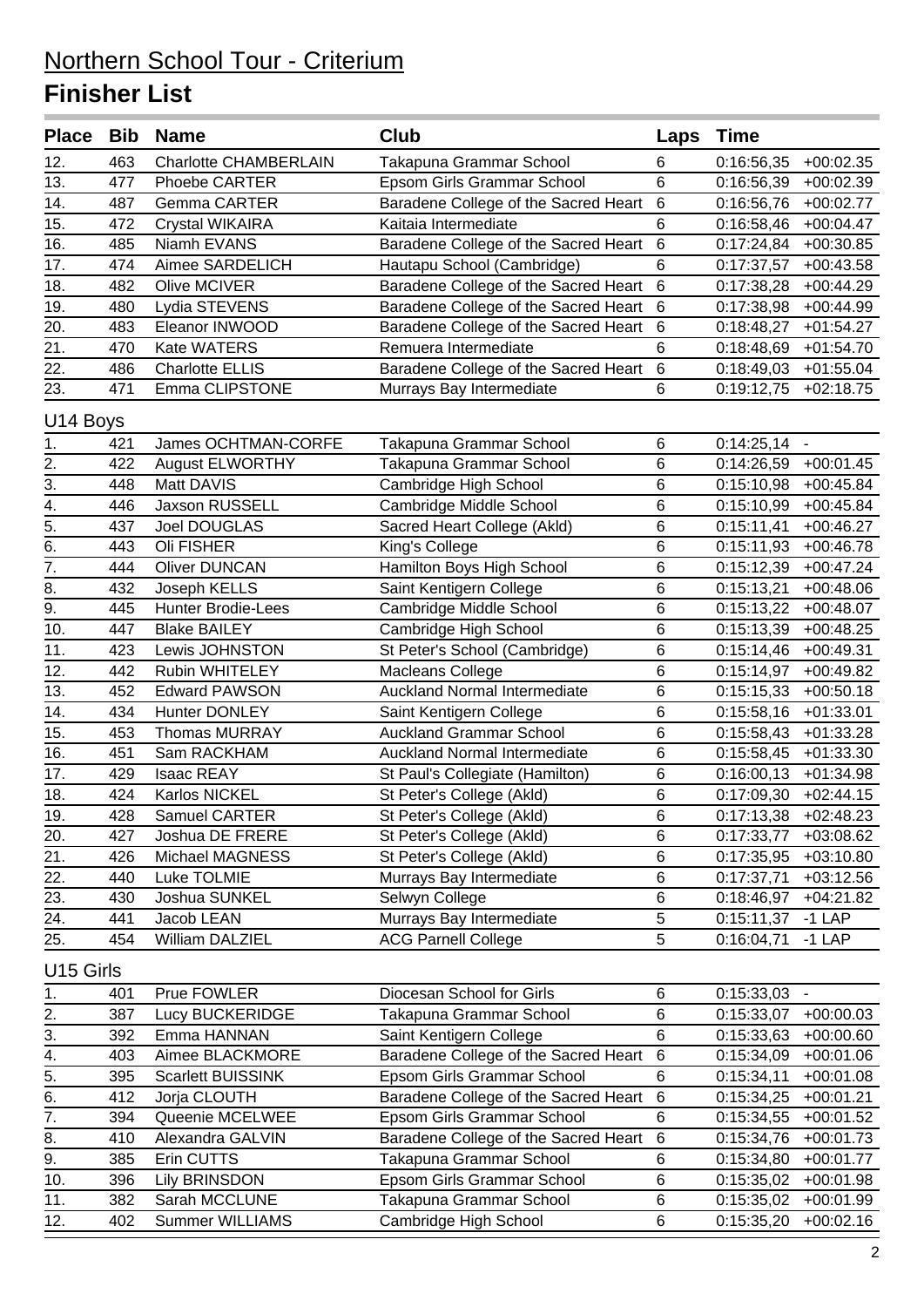| Place Bib             |     | <b>Name</b>                  | Club                                 | Laps            | <b>Time</b>            |                |
|-----------------------|-----|------------------------------|--------------------------------------|-----------------|------------------------|----------------|
| 12.                   | 463 | <b>Charlotte CHAMBERLAIN</b> | Takapuna Grammar School              | 6               | 0:16:56,35             | $+00:02.35$    |
| 13.                   | 477 | Phoebe CARTER                | Epsom Girls Grammar School           | 6               | 0:16:56,39             | $+00:02.39$    |
| 14.                   | 487 | Gemma CARTER                 | Baradene College of the Sacred Heart | $6\phantom{1}6$ | 0:16:56,76             | $+00:02.77$    |
| 15.                   | 472 | <b>Crystal WIKAIRA</b>       | Kaitaia Intermediate                 | 6               | 0:16:58,46             | $+00:04.47$    |
| 16.                   | 485 | Niamh EVANS                  | Baradene College of the Sacred Heart | $6\phantom{1}6$ | 0:17:24,84             | $+00:30.85$    |
| 17.                   | 474 | Aimee SARDELICH              | Hautapu School (Cambridge)           | 6               | 0:17:37,57             | $+00:43.58$    |
| 18.                   | 482 | Olive MCIVER                 | Baradene College of the Sacred Heart | $6\phantom{1}6$ | 0:17:38,28             | $+00:44.29$    |
| 19.                   | 480 | Lydia STEVENS                | Baradene College of the Sacred Heart | $6\phantom{1}$  | 0:17:38,98             | $+00:44.99$    |
| 20.                   | 483 | Eleanor INWOOD               | Baradene College of the Sacred Heart | 6               | 0:18:48,27             | $+01:54.27$    |
| 21.                   | 470 | Kate WATERS                  | Remuera Intermediate                 | 6               | 0:18:48,69             | $+01:54.70$    |
| 22.                   | 486 | <b>Charlotte ELLIS</b>       | Baradene College of the Sacred Heart | $\,6$           | 0:18:49,03             | $+01:55.04$    |
| 23.                   | 471 | Emma CLIPSTONE               | Murrays Bay Intermediate             | 6               | 0:19:12,75             | $+02:18.75$    |
| U14 Boys              |     |                              |                                      |                 |                        |                |
| 1.                    | 421 | James OCHTMAN-CORFE          | Takapuna Grammar School              | 6               | $0:14:25,14$ -         |                |
| 2.                    | 422 | <b>August ELWORTHY</b>       | Takapuna Grammar School              | 6               | 0:14:26,59             | $+00:01.45$    |
| $\overline{3}$ .      | 448 | Matt DAVIS                   | Cambridge High School                | 6               | 0:15:10,98             | $+00:45.84$    |
| $\overline{4}$ .      | 446 | <b>Jaxson RUSSELL</b>        | Cambridge Middle School              | 6               | 0:15:10,99             | $+00:45.84$    |
| 5.                    | 437 | Joel DOUGLAS                 | Sacred Heart College (Akld)          | 6               | 0:15:11,41             | $+00:46.27$    |
| 6.                    | 443 | Oli FISHER                   | King's College                       | 6               | 0:15:11,93             | $+00:46.78$    |
| $\overline{7}$ .      | 444 | <b>Oliver DUNCAN</b>         | Hamilton Boys High School            | 6               | 0:15:12,39             | $+00:47.24$    |
| $\overline{8}$ .      | 432 | Joseph KELLS                 | Saint Kentigern College              | 6               | 0:15:13,21             | $+00:48.06$    |
| $\overline{9}$ .      | 445 | <b>Hunter Brodie-Lees</b>    | Cambridge Middle School              | 6               | 0:15:13,22             | $+00:48.07$    |
| 10.                   | 447 | <b>Blake BAILEY</b>          | Cambridge High School                | 6               | 0:15:13,39             | $+00:48.25$    |
| 11.                   | 423 | Lewis JOHNSTON               | St Peter's School (Cambridge)        | 6               | 0:15:14,46             | $+00:49.31$    |
| 12.                   | 442 | Rubin WHITELEY               | Macleans College                     | 6               | 0:15:14,97             | $+00:49.82$    |
| 13.                   | 452 | <b>Edward PAWSON</b>         | <b>Auckland Normal Intermediate</b>  | 6               | 0:15:15,33             | $+00:50.18$    |
| 14.                   | 434 | Hunter DONLEY                | Saint Kentigern College              | 6               | 0:15:58,16             | $+01:33.01$    |
| 15.                   | 453 | <b>Thomas MURRAY</b>         | <b>Auckland Grammar School</b>       | 6               | 0:15:58,43             | $+01:33.28$    |
| 16.                   | 451 | Sam RACKHAM                  | Auckland Normal Intermediate         | 6               | 0:15:58,45             | $+01:33.30$    |
| 17.                   | 429 | <b>Isaac REAY</b>            | St Paul's Collegiate (Hamilton)      | 6               | 0:16:00,13             | $+01:34.98$    |
| 18.                   | 424 | Karlos NICKEL                | St Peter's College (Akld)            | 6               | 0:17:09,30             | $+02:44.15$    |
| 19.                   | 428 | Samuel CARTER                | St Peter's College (Akld)            | 6               | 0:17:13,38             | $+02:48.23$    |
| 20.                   | 427 | Joshua DE FRERE              | St Peter's College (Akld)            | 6               | $0:17:33,77$ +03:08.62 |                |
| 21.                   | 426 | Michael MAGNESS              | St Peter's College (Akld)            | 6               | $0:17:35,95$ +03:10.80 |                |
| 22.                   | 440 | Luke TOLMIE                  | Murrays Bay Intermediate             | 6               | 0:17:37,71             | $+03:12.56$    |
| 23.                   | 430 | Joshua SUNKEL                | Selwyn College                       | 6               | 0:18:46,97             | $+04:21.82$    |
| 24.                   | 441 | Jacob LEAN                   | Murrays Bay Intermediate             | 5               | 0:15:11,37             | $-1$ LAP       |
| 25.                   | 454 | William DALZIEL              | <b>ACG Parnell College</b>           | 5               | 0:16:04,71             | $-1$ LAP       |
| U <sub>15</sub> Girls |     |                              |                                      |                 |                        |                |
| 1.                    | 401 | Prue FOWLER                  | Diocesan School for Girls            | 6               | 0:15:33,03             | $\blacksquare$ |
| 2.                    | 387 | Lucy BUCKERIDGE              | Takapuna Grammar School              | 6               | 0:15:33,07             | $+00:00.03$    |
| 3.                    | 392 | Emma HANNAN                  | Saint Kentigern College              | 6               | 0:15:33,63             | $+00:00.60$    |
| 4.                    | 403 | Aimee BLACKMORE              | Baradene College of the Sacred Heart | $6\phantom{1}6$ | 0:15:34,09             | $+00:01.06$    |
| 5.                    | 395 | Scarlett BUISSINK            | Epsom Girls Grammar School           | 6               | 0:15:34,11             | $+00:01.08$    |
| 6.                    | 412 | Jorja CLOUTH                 | Baradene College of the Sacred Heart | $6\phantom{1}6$ | 0:15:34,25             | $+00:01.21$    |
| $\overline{7}$ .      | 394 | Queenie MCELWEE              | Epsom Girls Grammar School           | 6               | 0:15:34,55             | $+00:01.52$    |
| 8.                    | 410 | Alexandra GALVIN             | Baradene College of the Sacred Heart | $6\phantom{1}6$ | 0:15:34,76             | $+00:01.73$    |
| 9.                    | 385 | Erin CUTTS                   | Takapuna Grammar School              | 6               | 0:15:34,80             | $+00:01.77$    |
| 10.                   | 396 | <b>Lily BRINSDON</b>         | Epsom Girls Grammar School           | 6               | 0:15:35,02             | $+00:01.98$    |
| 11.                   | 382 | Sarah MCCLUNE                | Takapuna Grammar School              | 6               | 0:15:35,02             | $+00:01.99$    |
| 12.                   | 402 | Summer WILLIAMS              | Cambridge High School                | 6               | 0:15:35,20             | $+00:02.16$    |
|                       |     |                              |                                      |                 |                        |                |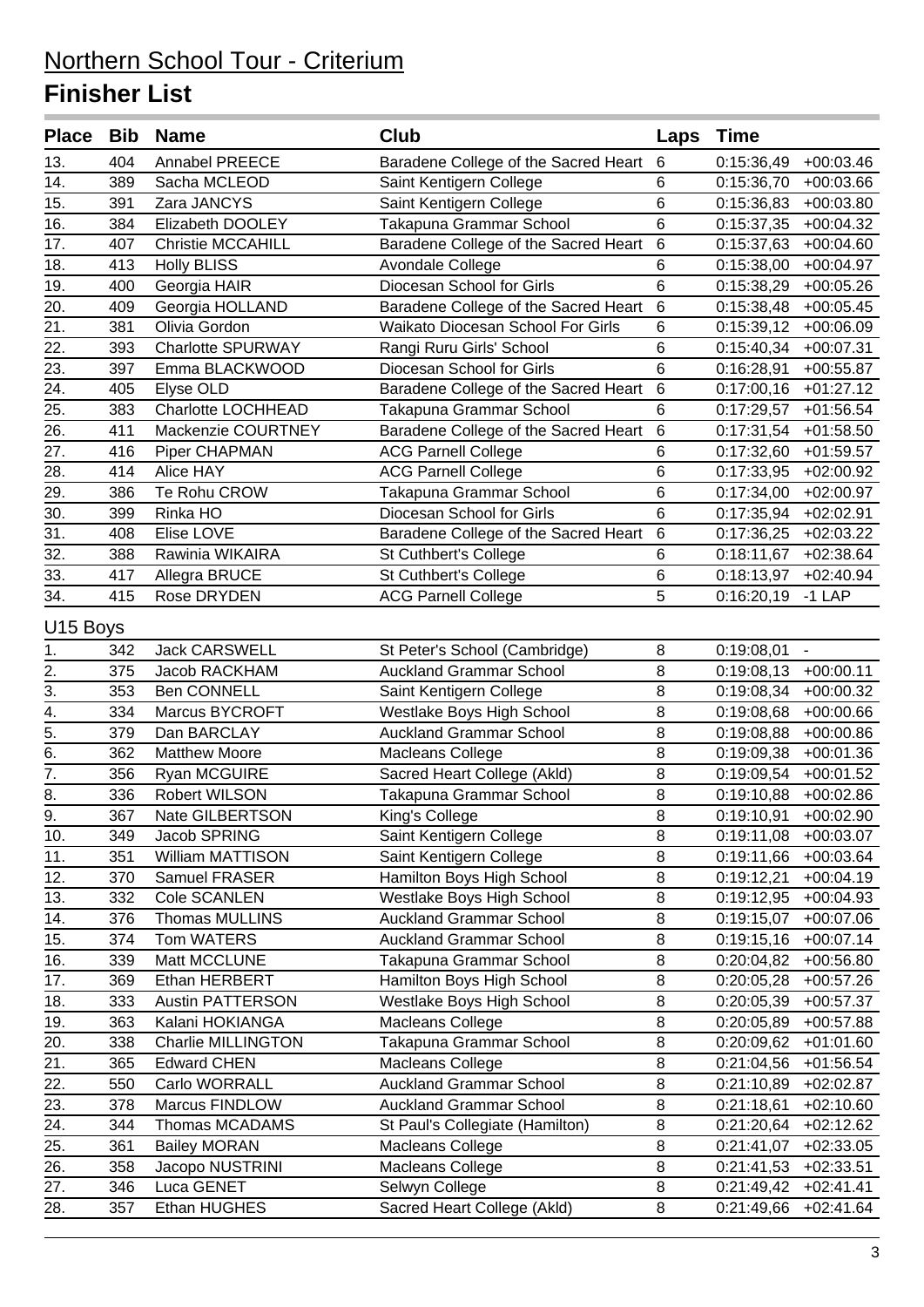| Place Bib            |     | <b>Name</b>               | Club                                 | Laps            | <b>Time</b> |                        |
|----------------------|-----|---------------------------|--------------------------------------|-----------------|-------------|------------------------|
| 13.                  | 404 | Annabel PREECE            | Baradene College of the Sacred Heart | $\,6$           | 0:15:36,49  | $+00:03.46$            |
| $\overline{14}$ .    | 389 | Sacha MCLEOD              | Saint Kentigern College              | 6               | 0:15:36,70  | $+00:03.66$            |
| 15.                  | 391 | Zara JANCYS               | Saint Kentigern College              | 6               | 0:15:36,83  | $+00:03.80$            |
| 16.                  | 384 | Elizabeth DOOLEY          | Takapuna Grammar School              | 6               | 0:15:37,35  | $+00:04.32$            |
| 17.                  | 407 | Christie MCCAHILL         | Baradene College of the Sacred Heart | $\,6$           | 0:15:37,63  | $+00:04.60$            |
| 18.                  | 413 | <b>Holly BLISS</b>        | Avondale College                     | 6               | 0:15:38,00  | $+00:04.97$            |
| 19.                  | 400 | Georgia HAIR              | Diocesan School for Girls            | 6               | 0:15:38,29  | $+00:05.26$            |
| 20.                  | 409 | Georgia HOLLAND           | Baradene College of the Sacred Heart | 6               | 0:15:38,48  | $+00:05.45$            |
|                      | 381 | Olivia Gordon             | Waikato Diocesan School For Girls    | 6               | 0:15:39,12  | $+00:06.09$            |
| $\frac{21}{22}$ .    | 393 | <b>Charlotte SPURWAY</b>  | Rangi Ruru Girls' School             | 6               | 0:15:40,34  | $+00:07.31$            |
| 23.                  | 397 | Emma BLACKWOOD            | Diocesan School for Girls            | 6               | 0:16:28,91  | $+00:55.87$            |
| 24.                  | 405 | Elyse OLD                 | Baradene College of the Sacred Heart | 6               | 0:17:00,16  | $+01:27.12$            |
| 25.                  | 383 | Charlotte LOCHHEAD        | Takapuna Grammar School              | 6               | 0:17:29,57  | $+01:56.54$            |
| $\overline{26}$ .    | 411 | Mackenzie COURTNEY        | Baradene College of the Sacred Heart | $6\phantom{1}6$ | 0:17:31,54  | $+01:58.50$            |
| 27.                  | 416 | Piper CHAPMAN             | <b>ACG Parnell College</b>           | 6               | 0:17:32,60  | $+01:59.57$            |
| 28.                  | 414 | Alice HAY                 | <b>ACG Parnell College</b>           | 6               | 0:17:33,95  | $+02:00.92$            |
| 29.                  | 386 | Te Rohu CROW              | Takapuna Grammar School              | 6               | 0:17:34,00  | $+02:00.97$            |
| $\frac{30}{31}$ .    | 399 | Rinka HO                  | Diocesan School for Girls            | 6               | 0:17:35,94  | $+02:02.91$            |
|                      | 408 | Elise LOVE                | Baradene College of the Sacred Heart | $6\phantom{1}6$ | 0:17:36,25  | $+02:03.22$            |
| 32.                  | 388 | Rawinia WIKAIRA           | St Cuthbert's College                | 6               | 0:18:11,67  | $+02:38.64$            |
| 33.                  | 417 | Allegra BRUCE             | St Cuthbert's College                | 6               | 0:18:13,97  | $+02:40.94$            |
| 34.                  | 415 | Rose DRYDEN               | <b>ACG Parnell College</b>           | 5               | 0:16:20,19  | $-1$ LAP               |
| U <sub>15</sub> Boys |     |                           |                                      |                 |             |                        |
| 1.                   | 342 | <b>Jack CARSWELL</b>      | St Peter's School (Cambridge)        | 8               | 0:19:08,01  | $\blacksquare$         |
| 2.                   | 375 | Jacob RACKHAM             | <b>Auckland Grammar School</b>       | 8               | 0:19:08,13  | $+00:00.11$            |
| $\overline{3}$ .     | 353 | <b>Ben CONNELL</b>        | Saint Kentigern College              | 8               | 0:19:08,34  | $+00:00.32$            |
| $\overline{4}$ .     | 334 | <b>Marcus BYCROFT</b>     | Westlake Boys High School            | 8               | 0:19:08,68  | $+00:00.66$            |
| $\overline{5}$ .     | 379 | Dan BARCLAY               | <b>Auckland Grammar School</b>       | 8               | 0:19:08,88  | $+00:00.86$            |
| $\overline{6}$ .     | 362 | <b>Matthew Moore</b>      | <b>Macleans College</b>              | 8               | 0:19:09,38  | $+00:01.36$            |
| $\overline{7}$ .     | 356 | Ryan MCGUIRE              | Sacred Heart College (Akld)          | 8               | 0:19:09,54  | $+00:01.52$            |
| $\overline{8}$ .     | 336 | Robert WILSON             | Takapuna Grammar School              | 8               | 0:19:10,88  | $+00:02.86$            |
| $\overline{9}$       | 367 | Nate GILBERTSON           | King's College                       | 8               | 0:19:10,91  | $+00:02.90$            |
| 10.                  | 349 | Jacob SPRING              | Saint Kentigern College              | 8               |             | $0:19:11,08$ +00:03.07 |
| 11.                  | 351 | William MATTISON          | Saint Kentigern College              | 8               | 0:19:11,66  | $+00:03.64$            |
| 12.                  | 370 | Samuel FRASER             | Hamilton Boys High School            | 8               | 0:19:12,21  | $+00:04.19$            |
| 13.                  | 332 | Cole SCANLEN              | Westlake Boys High School            | 8               | 0:19:12,95  | $+00:04.93$            |
| 14.                  | 376 | Thomas MULLINS            | <b>Auckland Grammar School</b>       | $\bf 8$         | 0:19:15,07  | $+00:07.06$            |
| 15.                  | 374 | Tom WATERS                | <b>Auckland Grammar School</b>       | 8               | 0:19:15,16  | $+00:07.14$            |
| 16.                  | 339 | Matt MCCLUNE              | Takapuna Grammar School              | 8               | 0:20:04,82  | $+00:56.80$            |
| 17.                  | 369 | Ethan HERBERT             | Hamilton Boys High School            | 8               | 0:20:05,28  | $+00:57.26$            |
| 18.                  | 333 | <b>Austin PATTERSON</b>   | Westlake Boys High School            | $\bf 8$         | 0:20:05,39  | $+00:57.37$            |
| 19.                  | 363 | Kalani HOKIANGA           | Macleans College                     | 8               | 0:20:05,89  | $+00:57.88$            |
| 20.                  | 338 | <b>Charlie MILLINGTON</b> | Takapuna Grammar School              | 8               | 0:20:09,62  | $+01:01.60$            |
| 21.                  | 365 | <b>Edward CHEN</b>        | <b>Macleans College</b>              | 8               | 0:21:04,56  | $+01:56.54$            |
| 22.                  | 550 | Carlo WORRALL             | <b>Auckland Grammar School</b>       | $\,8\,$         | 0:21:10,89  | $+02:02.87$            |
| 23.                  | 378 | Marcus FINDLOW            | <b>Auckland Grammar School</b>       | 8               | 0:21:18,61  | $+02:10.60$            |
| 24.                  | 344 | Thomas MCADAMS            | St Paul's Collegiate (Hamilton)      | 8               | 0:21:20,64  | $+02:12.62$            |
| 25.                  | 361 | <b>Bailey MORAN</b>       | Macleans College                     | 8               | 0:21:41,07  | $+02:33.05$            |
| 26.                  | 358 | Jacopo NUSTRINI           | Macleans College                     | $\bf 8$         | 0:21:41,53  | $+02:33.51$            |
| 27.                  | 346 | Luca GENET                | Selwyn College                       | $\bf 8$         | 0:21:49,42  | $+02:41.41$            |
| 28.                  | 357 | Ethan HUGHES              | Sacred Heart College (Akld)          | $\bf 8$         | 0:21:49,66  | $+02:41.64$            |
|                      |     |                           |                                      |                 |             |                        |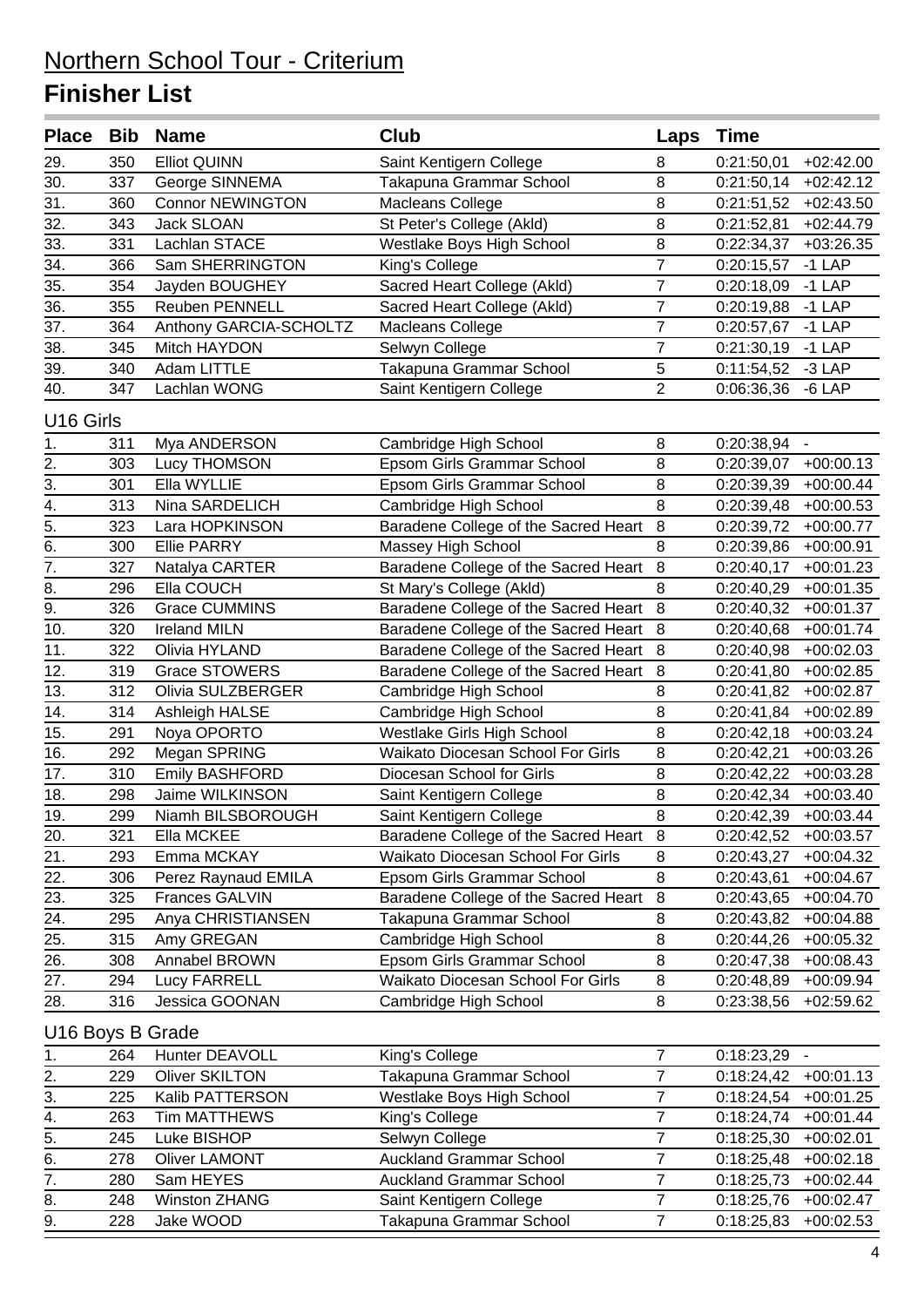#### **Finisher List**

| Place Bib Name    |     |                         | <b>Club</b>                          | Laps           | <b>Time</b>            |                |
|-------------------|-----|-------------------------|--------------------------------------|----------------|------------------------|----------------|
| 29.               | 350 | <b>Elliot QUINN</b>     | Saint Kentigern College              | 8              | 0:21:50,01             | $+02:42.00$    |
| 30.               | 337 | George SINNEMA          | Takapuna Grammar School              | 8              | 0:21:50,14             | $+02:42.12$    |
| 31.               | 360 | <b>Connor NEWINGTON</b> | Macleans College                     | 8              | 0:21:51,52             | $+02:43.50$    |
| 32.               | 343 | Jack SLOAN              | St Peter's College (Akld)            | 8              | 0:21:52,81             | $+02:44.79$    |
| 33.               | 331 | Lachlan STACE           | Westlake Boys High School            | 8              | 0:22:34,37             | $+03:26.35$    |
| 34.               | 366 | Sam SHERRINGTON         | King's College                       | $\overline{7}$ | 0:20:15,57             | $-1$ LAP       |
| 35.               | 354 | Jayden BOUGHEY          | Sacred Heart College (Akld)          | 7              | 0:20:18,09             | $-1$ LAP       |
| $\overline{36}$ . | 355 | Reuben PENNELL          | Sacred Heart College (Akld)          | $\overline{7}$ | 0:20:19,88             | $-1$ LAP       |
| 37.               | 364 | Anthony GARCIA-SCHOLTZ  | Macleans College                     | 7              | 0:20:57,67             | $-1$ LAP       |
| 38.               | 345 | Mitch HAYDON            | Selwyn College                       | 7              | 0:21:30,19             | $-1$ LAP       |
| 39.               | 340 | Adam LITTLE             | Takapuna Grammar School              | 5              | 0:11:54,52             | $-3$ LAP       |
| 40.               | 347 | Lachlan WONG            | Saint Kentigern College              | $\overline{2}$ | 0:06:36,36             | $-6$ LAP       |
| U16 Girls         |     |                         |                                      |                |                        |                |
| 1.                | 311 | Mya ANDERSON            | Cambridge High School                | 8              | 0:20:38,94             | $\blacksquare$ |
| $\frac{2}{3}$     | 303 | Lucy THOMSON            | Epsom Girls Grammar School           | 8              | 0:20:39,07             | $+00:00.13$    |
|                   | 301 | Ella WYLLIE             | Epsom Girls Grammar School           | 8              | 0:20:39,39             | $+00:00.44$    |
| $\frac{4}{5}$     | 313 | Nina SARDELICH          | Cambridge High School                | 8              | 0:20:39,48             | $+00:00.53$    |
|                   | 323 | Lara HOPKINSON          | Baradene College of the Sacred Heart | 8              | 0:20:39,72             | $+00:00.77$    |
| $rac{6}{7}$       | 300 | <b>Ellie PARRY</b>      | Massey High School                   | 8              | 0:20:39,86             | $+00:00.91$    |
|                   | 327 | Natalya CARTER          | Baradene College of the Sacred Heart | $\, 8$         | 0:20:40,17             | $+00:01.23$    |
| $\overline{8}$ .  | 296 | Ella COUCH              | St Mary's College (Akld)             | 8              | 0:20:40,29             | $+00:01.35$    |
| $\overline{9}$ .  | 326 | <b>Grace CUMMINS</b>    | Baradene College of the Sacred Heart | 8              | 0:20:40,32             | $+00:01.37$    |
| 10.               | 320 | <b>Ireland MILN</b>     | Baradene College of the Sacred Heart | 8              | 0:20:40,68             | $+00:01.74$    |
| 11.               | 322 | Olivia HYLAND           | Baradene College of the Sacred Heart | 8              | 0:20:40,98             | $+00:02.03$    |
| 12.               | 319 | <b>Grace STOWERS</b>    | Baradene College of the Sacred Heart | 8              | 0:20:41,80             | $+00:02.85$    |
| 13.               | 312 | Olivia SULZBERGER       | Cambridge High School                | 8              | 0:20:41,82             | $+00:02.87$    |
| 14.               | 314 | Ashleigh HALSE          | Cambridge High School                | 8              | 0:20:41,84             | $+00:02.89$    |
| 15.               | 291 | Noya OPORTO             | Westlake Girls High School           | 8              | 0:20:42,18             | $+00:03.24$    |
| $\overline{16}$ . | 292 | Megan SPRING            | Waikato Diocesan School For Girls    | 8              | 0:20:42,21             | $+00:03.26$    |
| 17.               | 310 | <b>Emily BASHFORD</b>   | Diocesan School for Girls            | 8              | 0:20:42,22             | $+00:03.28$    |
| 18.               | 298 | Jaime WILKINSON         | Saint Kentigern College              | 8              | 0:20:42,34             | $+00:03.40$    |
| 19.               | 299 | Niamh BILSBOROUGH       | Saint Kentigern College              | 8              | $0:20:42,39$ +00:03.44 |                |
| 20.               | 321 | Ella MCKEE              | Baradene College of the Sacred Heart | 8              | 0:20:42,52             | $+00:03.57$    |
| 21.               | 293 | Emma MCKAY              | Waikato Diocesan School For Girls    | 8              | 0:20:43,27             | $+00:04.32$    |
| 22.               | 306 | Perez Raynaud EMILA     | Epsom Girls Grammar School           | 8              | 0:20:43,61             | $+00:04.67$    |
| 23.               | 325 | Frances GALVIN          | Baradene College of the Sacred Heart | 8              | 0:20:43,65             | $+00:04.70$    |
| 24.               | 295 | Anya CHRISTIANSEN       | Takapuna Grammar School              | 8              | 0:20:43,82             | $+00:04.88$    |
| 25.               | 315 | Amy GREGAN              | Cambridge High School                | 8              | 0:20:44,26             | $+00:05.32$    |
| 26.               | 308 | Annabel BROWN           | Epsom Girls Grammar School           | 8              | 0:20:47,38             | $+00:08.43$    |
| 27.               | 294 | <b>Lucy FARRELL</b>     | Waikato Diocesan School For Girls    | 8              | 0:20:48,89             | $+00:09.94$    |
| 28.               | 316 | Jessica GOONAN          | Cambridge High School                | 8              | 0:23:38,56             | $+02:59.62$    |
| U16 Boys B Grade  |     |                         |                                      |                |                        |                |
| 1.                | 264 | Hunter DEAVOLL          | King's College                       | $\overline{7}$ | 0:18:23,29             |                |
| 2.                | 229 | <b>Oliver SKILTON</b>   | Takapuna Grammar School              | 7              | 0:18:24,42             | $+00:01.13$    |
| 3.                | 225 | Kalib PATTERSON         | Westlake Boys High School            | 7              | 0:18:24,54             | $+00:01.25$    |
| 4.                | 263 | <b>Tim MATTHEWS</b>     | King's College                       | $\overline{7}$ | 0:18:24,74             | $+00:01.44$    |
| 5.                | 245 | Luke BISHOP             | Selwyn College                       | 7              | 0:18:25,30             | $+00:02.01$    |
| 6.                | 278 | <b>Oliver LAMONT</b>    | <b>Auckland Grammar School</b>       | 7              | 0:18:25,48             | $+00:02.18$    |
| 7.                | 280 | Sam HEYES               | <b>Auckland Grammar School</b>       | 7              | 0:18:25,73             | $+00:02.44$    |
| 8.                | 248 | <b>Winston ZHANG</b>    | Saint Kentigern College              | $\overline{7}$ | 0:18:25,76             | $+00:02.47$    |
| 9.                | 228 | Jake WOOD               | Takapuna Grammar School              | $\overline{7}$ | 0:18:25,83             | $+00:02.53$    |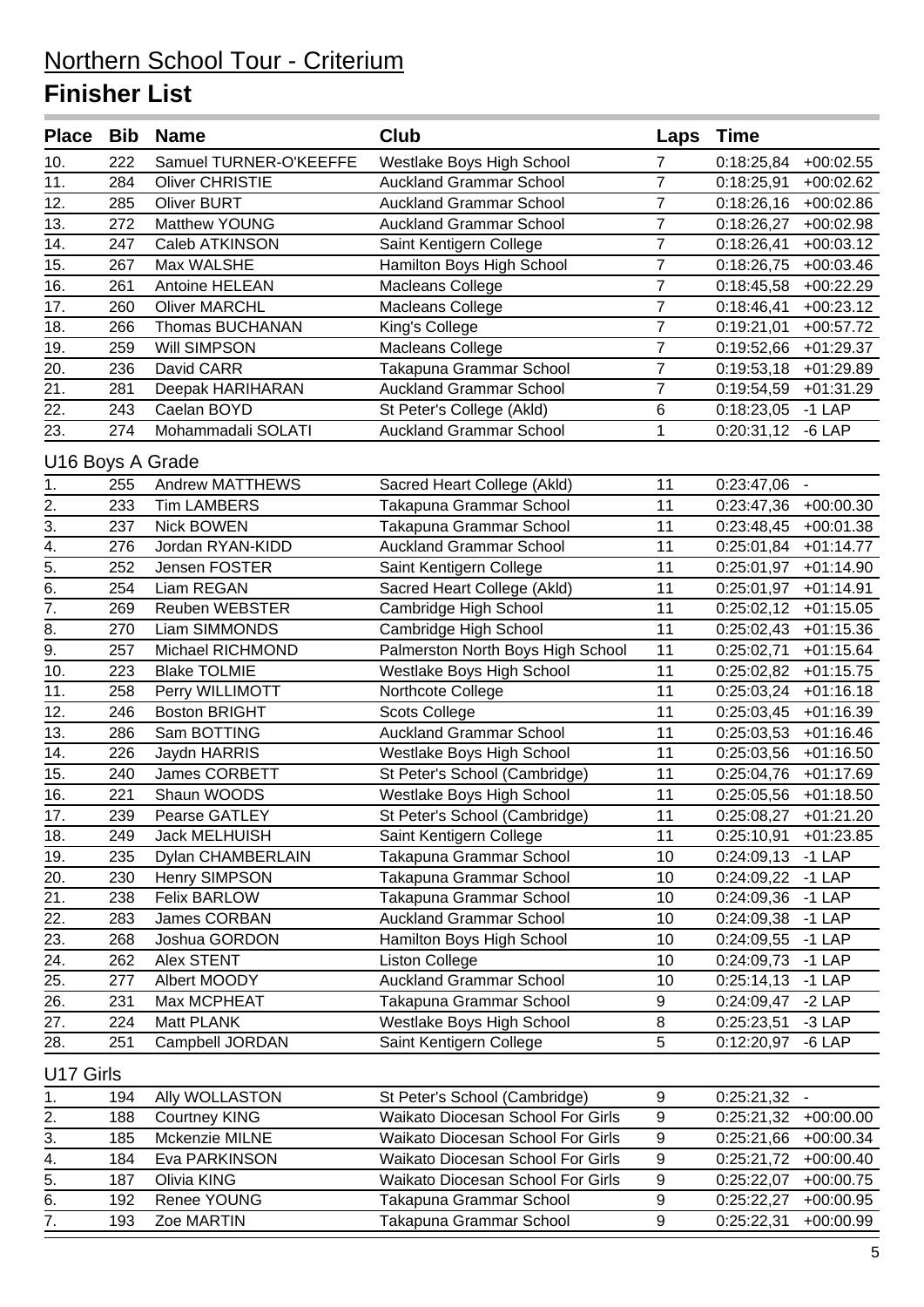|                                   |     | Place Bib Name               | Club                              | Laps             | <b>Time</b>              |                            |
|-----------------------------------|-----|------------------------------|-----------------------------------|------------------|--------------------------|----------------------------|
| 10.                               | 222 | Samuel TURNER-O'KEEFFE       | Westlake Boys High School         | 7                | 0:18:25,84               | $+00:02.55$                |
| $\overline{11}$ .                 | 284 | <b>Oliver CHRISTIE</b>       | <b>Auckland Grammar School</b>    | $\overline{7}$   | 0:18:25,91               | $+00:02.62$                |
| 12.                               | 285 | <b>Oliver BURT</b>           | <b>Auckland Grammar School</b>    | $\overline{7}$   | 0:18:26,16               | $+00:02.86$                |
| 13.                               | 272 | Matthew YOUNG                | <b>Auckland Grammar School</b>    | $\overline{7}$   | 0:18:26,27               | $+00:02.98$                |
| 14.                               | 247 | Caleb ATKINSON               | Saint Kentigern College           | $\overline{7}$   | 0:18:26,41               | $+00:03.12$                |
| 15.                               | 267 | Max WALSHE                   | Hamilton Boys High School         | $\overline{7}$   | 0:18:26,75               | $+00:03.46$                |
| 16.                               | 261 | Antoine HELEAN               | Macleans College                  | $\overline{7}$   | 0:18:45,58               | $+00:22.29$                |
| 17.                               | 260 | <b>Oliver MARCHL</b>         | Macleans College                  | $\overline{7}$   | 0:18:46,41               | $+00:23.12$                |
| 18.                               | 266 | Thomas BUCHANAN              | King's College                    | $\overline{7}$   | 0:19:21,01               | $+00:57.72$                |
| 19.                               | 259 | Will SIMPSON                 | Macleans College                  | 7                | 0:19:52,66               | $+01:29.37$                |
| 20.                               | 236 | David CARR                   | Takapuna Grammar School           | 7                | 0:19:53,18               | $+01:29.89$                |
| 21.                               | 281 | Deepak HARIHARAN             | <b>Auckland Grammar School</b>    | $\overline{7}$   | 0:19:54,59               | $+01:31.29$                |
| $\overline{22.}$                  | 243 | Caelan BOYD                  | St Peter's College (Akld)         | 6                | 0:18:23,05               | $-1$ LAP                   |
| 23.                               | 274 | Mohammadali SOLATI           | <b>Auckland Grammar School</b>    | 1                | 0:20:31,12               | $-6$ LAP                   |
| U16 Boys A Grade                  |     |                              |                                   |                  |                          |                            |
| 1.                                | 255 | <b>Andrew MATTHEWS</b>       | Sacred Heart College (Akld)       | 11               | $0:23:47,06 -$           |                            |
|                                   | 233 | <b>Tim LAMBERS</b>           | Takapuna Grammar School           | 11               | 0:23:47,36               | $+00:00.30$                |
| $\frac{2}{3}$ .                   | 237 | <b>Nick BOWEN</b>            | Takapuna Grammar School           | 11               | 0:23:48,45               | $+00:01.38$                |
| $\overline{4}$ .                  | 276 | Jordan RYAN-KIDD             | <b>Auckland Grammar School</b>    | 11               | 0:25:01,84               | $+01:14.77$                |
| $\overline{5}$ .                  | 252 | <b>Jensen FOSTER</b>         | Saint Kentigern College           | 11               | 0:25:01,97               | $+01:14.90$                |
| $\overline{6}$ .                  | 254 | Liam REGAN                   | Sacred Heart College (Akld)       | 11               | 0:25:01,97               | $+01:14.91$                |
| $\overline{7}$ .                  | 269 | Reuben WEBSTER               | Cambridge High School             | 11               | 0:25:02,12               | $+01:15.05$                |
| $\overline{8}$ .                  | 270 | Liam SIMMONDS                | Cambridge High School             | 11               | 0:25:02,43               | $+01:15.36$                |
| $\overline{9}$ .                  | 257 | Michael RICHMOND             | Palmerston North Boys High School | 11               | 0:25:02,71               | $+01:15.64$                |
| 10.                               | 223 | <b>Blake TOLMIE</b>          | Westlake Boys High School         | 11               | 0:25:02,82               | $+01:15.75$                |
| 11.                               | 258 | Perry WILLIMOTT              | Northcote College                 | 11               | 0:25:03,24               | $+01:16.18$                |
| 12.                               | 246 | <b>Boston BRIGHT</b>         | <b>Scots College</b>              | 11               | 0:25:03,45               | $+01:16.39$                |
| 13.                               | 286 | Sam BOTTING                  | <b>Auckland Grammar School</b>    | 11               | 0:25:03,53               | $+01:16.46$                |
| 14.                               | 226 | Jaydn HARRIS                 | Westlake Boys High School         | 11               | 0:25:03,56               | $+01:16.50$                |
| 15.                               | 240 | James CORBETT                | St Peter's School (Cambridge)     | 11               | 0:25:04,76               | $+01:17.69$                |
| $\overline{16}$ .                 | 221 | Shaun WOODS                  | Westlake Boys High School         | 11               | 0:25:05,56               | $+01:18.50$                |
| 17.                               | 239 | Pearse GATLEY                | St Peter's School (Cambridge)     | 11               |                          | $0:25:08,27$ +01:21.20     |
| 18.                               | 249 | <b>Jack MELHUISH</b>         | Saint Kentigern College           | 11               | 0:25:10,91               | +01:23.85                  |
| 19.                               | 235 | Dylan CHAMBERLAIN            | Takapuna Grammar School           | 10               | 0:24:09,13               | $-1$ LAP                   |
| 20.                               | 230 | Henry SIMPSON                | Takapuna Grammar School           | 10               | 0:24:09,22               | $-1$ LAP                   |
| 21.                               | 238 | <b>Felix BARLOW</b>          | Takapuna Grammar School           | 10               | 0:24:09,36               | $-1$ LAP                   |
| 22.                               | 283 | James CORBAN                 | <b>Auckland Grammar School</b>    | 10               | 0:24:09,38               | $-1$ LAP                   |
| 23.                               | 268 | Joshua GORDON                | Hamilton Boys High School         | 10               | 0:24:09,55               | $-1$ LAP                   |
| 24.                               | 262 | Alex STENT                   | <b>Liston College</b>             | 10               | 0:24:09,73               | $-1$ LAP                   |
| 25.                               | 277 | Albert MOODY                 | <b>Auckland Grammar School</b>    | 10               | 0:25:14,13               | $-1$ LAP                   |
| 26.                               | 231 | Max MCPHEAT                  | Takapuna Grammar School           | 9                | 0:24:09,47               | $-2$ LAP                   |
| 27.                               | 224 | Matt PLANK                   | Westlake Boys High School         | 8                | 0:25:23,51               | $-3$ LAP                   |
| 28.                               | 251 | Campbell JORDAN              | Saint Kentigern College           | 5                | 0:12:20,97               | $-6$ LAP                   |
| U17 Girls                         |     |                              |                                   |                  |                          |                            |
| 1.                                | 194 | Ally WOLLASTON               | St Peter's School (Cambridge)     | 9                | $0:25:21,32 -$           |                            |
|                                   | 188 | <b>Courtney KING</b>         | Waikato Diocesan School For Girls | 9                |                          | $+00:00.00$                |
| $\overline{2}$ .<br>3.            | 185 | Mckenzie MILNE               | Waikato Diocesan School For Girls | $\boldsymbol{9}$ | 0:25:21,32<br>0:25:21,66 | $+00:00.34$                |
|                                   | 184 |                              | Waikato Diocesan School For Girls | 9                |                          |                            |
| $\frac{4}{ }$<br>$\overline{5}$ . | 187 | Eva PARKINSON<br>Olivia KING | Waikato Diocesan School For Girls | 9                | 0:25:21,72<br>0:25:22,07 | $+00:00.40$<br>$+00:00.75$ |
| 6.                                | 192 | Renee YOUNG                  | Takapuna Grammar School           | 9                | 0:25:22,27               | $+00:00.95$                |
| $\overline{7}$ .                  | 193 | Zoe MARTIN                   | Takapuna Grammar School           | $\overline{9}$   | 0:25:22,31               | $+00:00.99$                |
|                                   |     |                              |                                   |                  |                          |                            |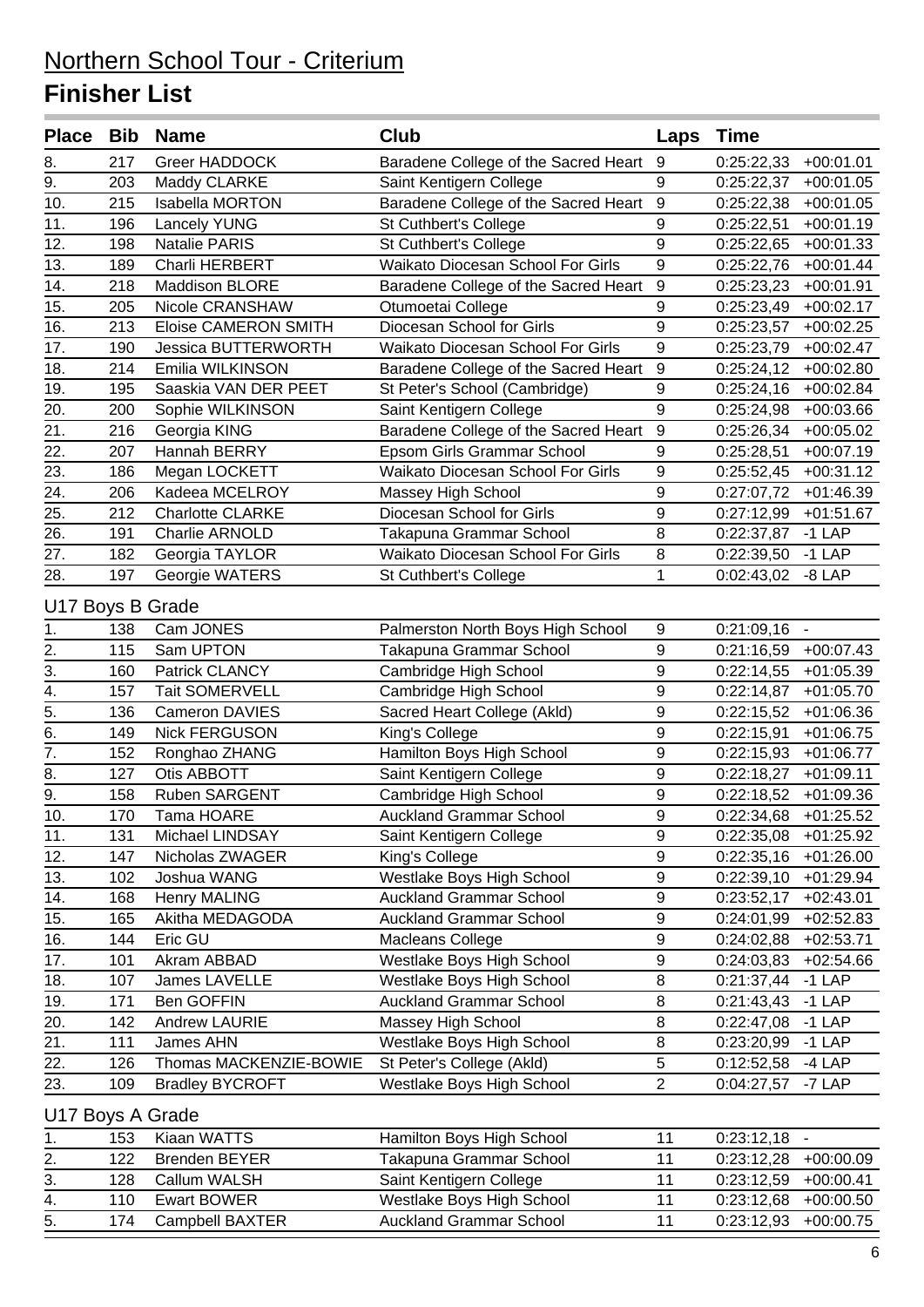|                   |            | Place Bib Name                     | <b>Club</b>                          | Laps             | <b>Time</b>            |                        |
|-------------------|------------|------------------------------------|--------------------------------------|------------------|------------------------|------------------------|
| 8.                | 217        | <b>Greer HADDOCK</b>               | Baradene College of the Sacred Heart | 9                | 0:25:22,33             | $+00:01.01$            |
| 9.                | 203        | Maddy CLARKE                       | Saint Kentigern College              | 9                | 0:25:22,37             | $+00:01.05$            |
| 10.               | 215        | Isabella MORTON                    | Baradene College of the Sacred Heart | 9                | 0:25:22,38             | $+00:01.05$            |
| 11.               | 196        | <b>Lancely YUNG</b>                | St Cuthbert's College                | 9                | 0:25:22,51             | $+00:01.19$            |
| 12.               | 198        | <b>Natalie PARIS</b>               | St Cuthbert's College                | 9                | 0:25:22,65             | $+00:01.33$            |
| 13.               | 189        | Charli HERBERT                     | Waikato Diocesan School For Girls    | 9                | 0:25:22,76             | $+00:01.44$            |
| 14.               | 218        | Maddison BLORE                     | Baradene College of the Sacred Heart | $\overline{9}$   | 0:25:23,23             | $+00:01.91$            |
| 15.               | 205        | Nicole CRANSHAW                    | Otumoetai College                    | 9                | 0:25:23,49             | $+00:02.17$            |
| 16.               | 213        | <b>Eloise CAMERON SMITH</b>        | Diocesan School for Girls            | 9                | 0:25:23,57             | $+00:02.25$            |
| 17.               | 190        | <b>Jessica BUTTERWORTH</b>         | Waikato Diocesan School For Girls    | 9                | 0:25:23,79             | $+00:02.47$            |
| 18.               | 214        | Emilia WILKINSON                   | Baradene College of the Sacred Heart | 9                | 0:25:24,12             | $+00:02.80$            |
| 19.               | 195        | Saaskia VAN DER PEET               | St Peter's School (Cambridge)        | 9                | 0:25:24,16             | $+00:02.84$            |
| 20.               | 200        | Sophie WILKINSON                   | Saint Kentigern College              | 9                | 0:25:24,98             | $+00:03.66$            |
| 21.               | 216        | Georgia KING                       | Baradene College of the Sacred Heart | $\boldsymbol{9}$ | 0:25:26,34             | $+00:05.02$            |
| 22.               | 207        | Hannah BERRY                       | Epsom Girls Grammar School           | 9                | 0:25:28,51             | $+00:07.19$            |
| 23.               | 186        | Megan LOCKETT                      | Waikato Diocesan School For Girls    | 9                | 0:25:52,45             | $+00:31.12$            |
| $\overline{24}$ . | 206        | Kadeea MCELROY                     | Massey High School                   | 9                | 0:27:07,72             | $+01:46.39$            |
| 25.               | 212        | <b>Charlotte CLARKE</b>            | Diocesan School for Girls            | 9                | 0:27:12,99             | $+01:51.67$            |
| 26.               | 191        | Charlie ARNOLD                     | Takapuna Grammar School              | 8                | 0:22:37,87             | $-1$ LAP               |
| 27.               | 182        | Georgia TAYLOR                     | Waikato Diocesan School For Girls    | 8                | 0:22:39,50             | $-1$ LAP               |
| 28.               | 197        | Georgie WATERS                     | St Cuthbert's College                | 1                | 0:02:43,02             | $-8$ LAP               |
| U17 Boys B Grade  |            |                                    |                                      |                  |                        |                        |
| 1.                | 138        | Cam JONES                          | Palmerston North Boys High School    | 9                | 0:21:09,16             | $\blacksquare$         |
| 2.                | 115        | Sam UPTON                          | Takapuna Grammar School              | 9                | 0:21:16,59             | $+00:07.43$            |
| $\overline{3}$ .  | 160        | Patrick CLANCY                     | Cambridge High School                | 9                | 0:22:14,55             | $+01:05.39$            |
| $\overline{4}$ .  | 157        | <b>Tait SOMERVELL</b>              | Cambridge High School                | 9                | 0:22:14,87             | $+01:05.70$            |
| 5.                | 136        | Cameron DAVIES                     | Sacred Heart College (Akld)          | 9                | 0:22:15,52             | $+01:06.36$            |
| $\overline{6}$ .  | 149        | <b>Nick FERGUSON</b>               | King's College                       | 9                | 0:22:15,91             | $+01:06.75$            |
| $\overline{7}$ .  | 152        | Ronghao ZHANG                      | Hamilton Boys High School            | 9                | 0:22:15,93             | $+01:06.77$            |
| 8.                | 127        | Otis ABBOTT                        | Saint Kentigern College              | 9                | 0:22:18,27             | $+01:09.11$            |
| $\overline{9}$ .  | 158        | Ruben SARGENT                      | Cambridge High School                | 9                | 0:22:18,52             | $+01:09.36$            |
| 10.               | 170        | Tama HOARE                         | <b>Auckland Grammar School</b>       | 9                | $0:22:34,68$ +01:25.52 |                        |
| 11.               | 131        | Michael LINDSAY                    | Saint Kentigern College              | 9                |                        | $0:22:35,08$ +01:25.92 |
| 12.               | 147        | Nicholas ZWAGER                    | King's College                       | 9                | 0:22:35,16             | $+01:26.00$            |
| 13.               | 102        | Joshua WANG                        | Westlake Boys High School            | 9                | 0:22:39,10             | $+01:29.94$            |
|                   | 168        | <b>Henry MALING</b>                | <b>Auckland Grammar School</b>       | 9                | 0:23:52,17             | $+02:43.01$            |
| 14.<br>15.        | 165        | Akitha MEDAGODA                    | <b>Auckland Grammar School</b>       | 9                | 0:24:01,99             | $+02:52.83$            |
| 16.               | 144        | Eric GU                            | Macleans College                     | 9                | 0:24:02,88             | $+02:53.71$            |
| 17.               | 101        | Akram ABBAD                        | Westlake Boys High School            | 9                | 0:24:03,83             | $+02:54.66$            |
|                   | 107        | James LAVELLE                      | Westlake Boys High School            | 8                |                        | $-1$ LAP               |
| 18.               |            |                                    | <b>Auckland Grammar School</b>       | 8                | 0:21:37,44             |                        |
| 19.               | 171<br>142 | Ben GOFFIN<br><b>Andrew LAURIE</b> | Massey High School                   | 8                | 0:21:43,43             | $-1$ LAP               |
| 20.               | 111        |                                    | Westlake Boys High School            | 8                | 0:22:47,08             | $-1$ LAP               |
| 21.               |            | James AHN                          |                                      | 5                | 0:23:20,99             | $-1$ LAP               |
| 22.               | 126        | Thomas MACKENZIE-BOWIE             | St Peter's College (Akld)            | $\overline{2}$   | 0:12:52,58             | $-4$ LAP               |
| 23.               | 109        | <b>Bradley BYCROFT</b>             | Westlake Boys High School            |                  | 0:04:27,57             | -7 LAP                 |
| U17 Boys A Grade  |            |                                    |                                      |                  |                        |                        |
| 1.                | 153        | Kiaan WATTS                        | Hamilton Boys High School            | 11               | $0:23:12,18 -$         |                        |
|                   |            |                                    |                                      |                  |                        |                        |

|     | ၊ ၁၁ | Niddli WATTO    | Halliiluli Duys Hiyii School | <u>U.Z.J. IZ. IO</u>   |
|-----|------|-----------------|------------------------------|------------------------|
| 2.  | 122  | Brenden BEYER   | Takapuna Grammar School      | $0:23:12.28$ +00:00.09 |
| 3.  | 128  | Callum WALSH    | Saint Kentigern College      | $0:23:12,59$ +00:00.41 |
| 4.  | 110. | Ewart BOWER     | Westlake Boys High School    | $0:23:12.68$ +00:00.50 |
| -5. | 174  | Campbell BAXTER | Auckland Grammar School      | $0:23:12.93$ +00:00.75 |
|     |      |                 |                              |                        |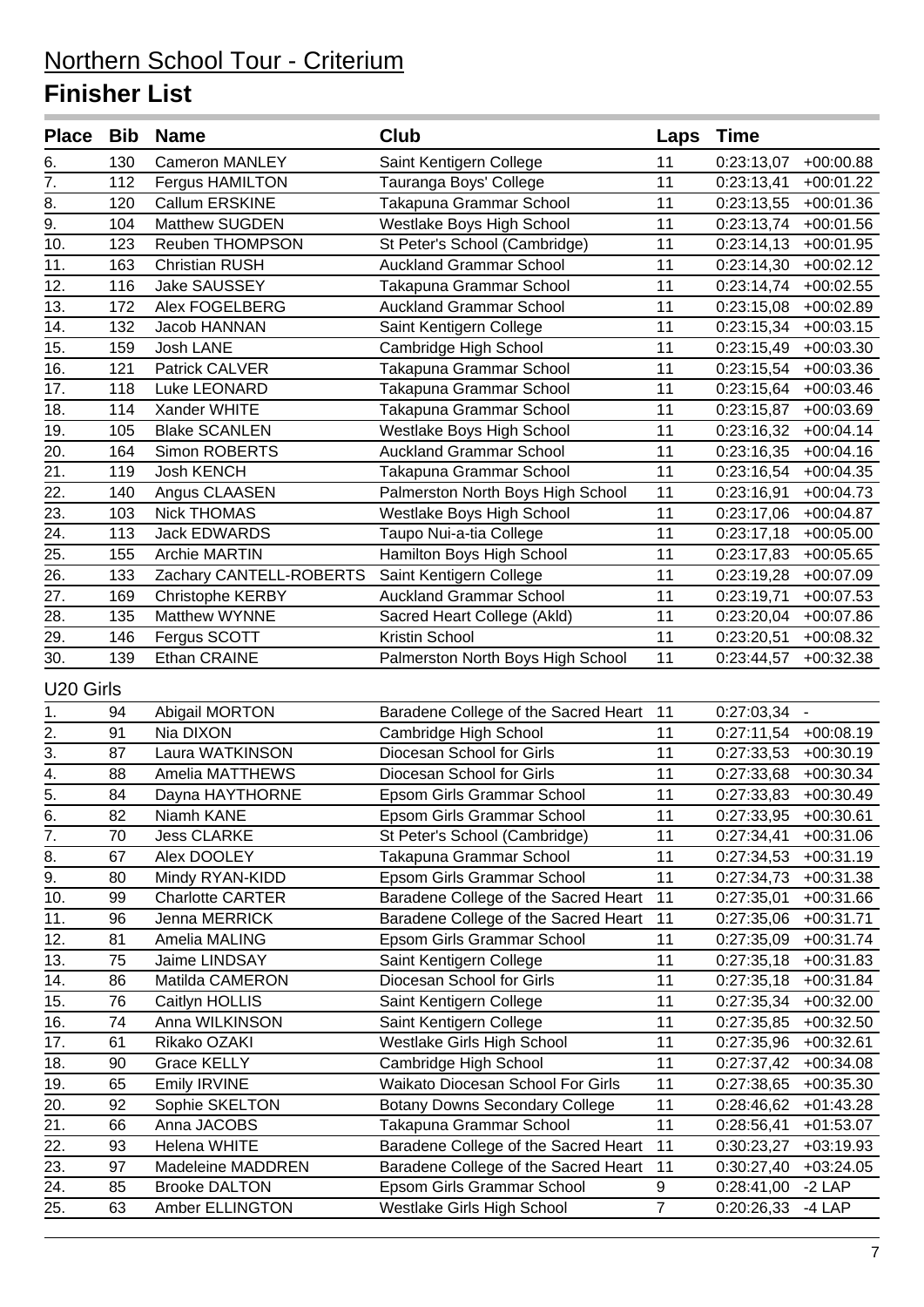| Place Bib Name                     |     |                         | Club                                 | Laps           | Time           |             |
|------------------------------------|-----|-------------------------|--------------------------------------|----------------|----------------|-------------|
| 6.                                 | 130 | <b>Cameron MANLEY</b>   | Saint Kentigern College              | 11             | 0:23:13,07     | $+00:00.88$ |
| $\overline{7}$ .                   | 112 | Fergus HAMILTON         | Tauranga Boys' College               | 11             | 0:23:13,41     | $+00:01.22$ |
| 8.                                 | 120 | Callum ERSKINE          | Takapuna Grammar School              | 11             | 0:23:13,55     | $+00:01.36$ |
| $\overline{9}$ .                   | 104 | Matthew SUGDEN          | Westlake Boys High School            | 11             | 0:23:13,74     | $+00:01.56$ |
| 10.                                | 123 | Reuben THOMPSON         | St Peter's School (Cambridge)        | 11             | 0:23:14,13     | $+00:01.95$ |
| 11.                                | 163 | <b>Christian RUSH</b>   | <b>Auckland Grammar School</b>       | 11             | 0:23:14,30     | $+00:02.12$ |
| 12.                                | 116 | Jake SAUSSEY            | Takapuna Grammar School              | 11             | 0:23:14,74     | $+00:02.55$ |
| 13.                                | 172 | Alex FOGELBERG          | <b>Auckland Grammar School</b>       | 11             | 0:23:15,08     | $+00:02.89$ |
| 14.                                | 132 | Jacob HANNAN            | Saint Kentigern College              | 11             | 0:23:15,34     | $+00:03.15$ |
| $\overline{15}$ .                  | 159 | Josh LANE               | Cambridge High School                | 11             | 0:23:15,49     | $+00:03.30$ |
| 16.                                | 121 | Patrick CALVER          | Takapuna Grammar School              | 11             | 0:23:15,54     | $+00:03.36$ |
| 17.                                | 118 | Luke LEONARD            | Takapuna Grammar School              | 11             | 0:23:15,64     | $+00:03.46$ |
| 18.                                | 114 | Xander WHITE            | Takapuna Grammar School              | 11             | 0:23:15,87     | $+00:03.69$ |
| 19 <sub>1</sub>                    | 105 | <b>Blake SCANLEN</b>    | Westlake Boys High School            | 11             | 0:23:16,32     | $+00:04.14$ |
| 20.                                | 164 | Simon ROBERTS           | <b>Auckland Grammar School</b>       | 11             | 0:23:16,35     | $+00:04.16$ |
| 21.                                | 119 | <b>Josh KENCH</b>       | Takapuna Grammar School              | 11             | 0:23:16,54     | $+00:04.35$ |
| 22.                                | 140 | Angus CLAASEN           | Palmerston North Boys High School    | 11             | 0:23:16,91     | $+00:04.73$ |
| $\overline{23.}$                   | 103 | <b>Nick THOMAS</b>      | Westlake Boys High School            | 11             | 0:23:17,06     | $+00:04.87$ |
| $\overline{24}$ .                  | 113 | <b>Jack EDWARDS</b>     | Taupo Nui-a-tia College              | 11             | 0:23:17,18     | $+00:05.00$ |
| 25.                                | 155 | <b>Archie MARTIN</b>    | Hamilton Boys High School            | 11             | 0:23:17,83     | $+00:05.65$ |
| 26.                                | 133 | Zachary CANTELL-ROBERTS | Saint Kentigern College              | 11             | 0:23:19,28     | $+00:07.09$ |
| 27.                                | 169 | Christophe KERBY        | <b>Auckland Grammar School</b>       | 11             | 0:23:19,71     | $+00:07.53$ |
| 28.                                | 135 | Matthew WYNNE           | Sacred Heart College (Akld)          | 11             | 0:23:20,04     | $+00:07.86$ |
| 29.                                | 146 | Fergus SCOTT            | Kristin School                       | 11             | 0:23:20,51     | $+00:08.32$ |
| 30.                                | 139 | Ethan CRAINE            | Palmerston North Boys High School    | 11             | 0:23:44,57     | $+00:32.38$ |
| U20 Girls                          |     |                         |                                      |                |                |             |
| 1.                                 | 94  | Abigail MORTON          | Baradene College of the Sacred Heart | 11             | $0:27:03,34 -$ |             |
|                                    | 91  | Nia DIXON               | Cambridge High School                | 11             | 0:27:11,54     | $+00:08.19$ |
| $\frac{2}{3}$ .                    | 87  | Laura WATKINSON         | Diocesan School for Girls            | 11             | 0:27:33,53     | $+00:30.19$ |
|                                    | 88  | Amelia MATTHEWS         | Diocesan School for Girls            | 11             | 0:27:33,68     | $+00:30.34$ |
|                                    | 84  | Dayna HAYTHORNE         | Epsom Girls Grammar School           | 11             | 0:27:33,83     | $+00:30.49$ |
| $\frac{4}{5}$ .<br>$\frac{5}{6}$ . | 82  | Niamh KANE              | Epsom Girls Grammar School           | 11             | 0:27:33,95     | $+00:30.61$ |
| 7.                                 | 70  | <b>Jess CLARKE</b>      | St Peter's School (Cambridge)        | 11             | 0:27:34,41     | $+00:31.06$ |
| 8.                                 | 67  | Alex DOOLEY             | Takapuna Grammar School              | 11             | 0:27:34,53     | $+00:31.19$ |
| 9.                                 | 80  | Mindy RYAN-KIDD         | Epsom Girls Grammar School           | 11             | 0:27:34,73     | $+00:31.38$ |
| 10.                                | 99  | <b>Charlotte CARTER</b> | Baradene College of the Sacred Heart | 11             | 0:27:35,01     | $+00:31.66$ |
| 11.                                | 96  | Jenna MERRICK           | Baradene College of the Sacred Heart | 11             | 0:27:35,06     | $+00:31.71$ |
| 12.                                | 81  | Amelia MALING           | Epsom Girls Grammar School           | 11             | 0:27:35,09     | $+00:31.74$ |
| 13.                                | 75  | Jaime LINDSAY           | Saint Kentigern College              | 11             | 0:27:35,18     | $+00:31.83$ |
| 14.                                | 86  | Matilda CAMERON         | Diocesan School for Girls            | 11             | 0:27:35,18     | $+00:31.84$ |
| 15.                                | 76  | Caitlyn HOLLIS          | Saint Kentigern College              | 11             | 0:27:35,34     | $+00:32.00$ |
| 16.                                | 74  | Anna WILKINSON          | Saint Kentigern College              | 11             | 0:27:35,85     | $+00:32.50$ |
| 17.                                | 61  | Rikako OZAKI            | Westlake Girls High School           | 11             | 0:27:35,96     | $+00:32.61$ |
| 18.                                | 90  | Grace KELLY             | Cambridge High School                | 11             | 0:27:37,42     | $+00:34.08$ |
| 19.                                | 65  | Emily IRVINE            | Waikato Diocesan School For Girls    | 11             | 0:27:38,65     | $+00:35.30$ |
| 20.                                | 92  | Sophie SKELTON          | Botany Downs Secondary College       | 11             | 0:28:46,62     | $+01:43.28$ |
| 21.                                | 66  | Anna JACOBS             | Takapuna Grammar School              | 11             | 0:28:56,41     | $+01:53.07$ |
| 22.                                | 93  | Helena WHITE            | Baradene College of the Sacred Heart | 11             | 0:30:23,27     | $+03:19.93$ |
| 23.                                | 97  | Madeleine MADDREN       | Baradene College of the Sacred Heart | 11             | 0:30:27,40     | $+03:24.05$ |
| 24.                                | 85  | <b>Brooke DALTON</b>    | Epsom Girls Grammar School           | 9              | 0:28:41,00     | $-2$ LAP    |
| 25.                                | 63  | Amber ELLINGTON         | Westlake Girls High School           | $\overline{7}$ | 0:20:26,33     | $-4$ LAP    |
|                                    |     |                         |                                      |                |                |             |